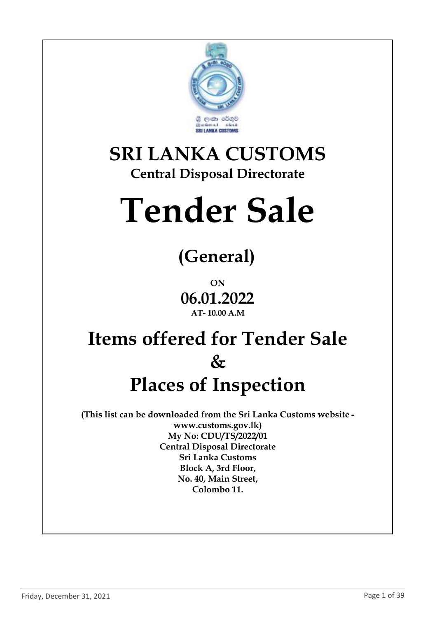

### **SRI LANKA CUSTOMS Central Disposal Directorate**

# **Tender Sale**

# **(General)**

**ON 06.01.2022 AT- 10.00 A.M**

## **Items offered for Tender Sale & Places of Inspection**

**(This list can be downloaded from the Sri Lanka Customs website www.customs.gov.lk) My No: CDU/TS/2022/01 Central Disposal Directorate Sri Lanka Customs Block A, 3rd Floor, No. 40, Main Street, Colombo 11.**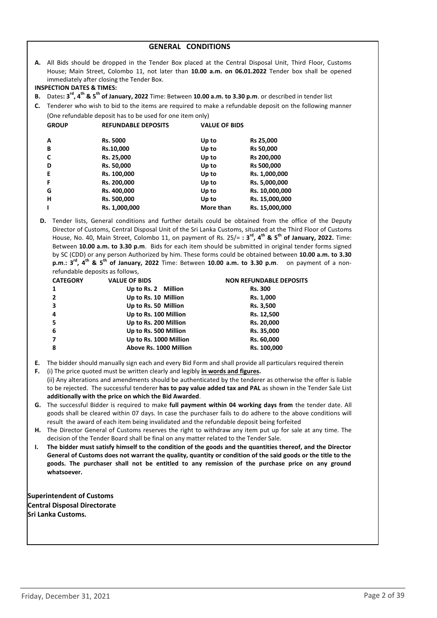#### **GENERAL CONDITIONS**

**A.** All Bids should be dropped in the Tender Box placed at the Central Disposal Unit, Third Floor, Customs House; Main Street, Colombo 11, not later than **10.00 a.m. on 06.01.2022** Tender box shall be opened immediately after closing the Tender Box.

#### **INSPECTION DATES & TIMES:**

- **B.** Dates**: 3 rd, 4th & 5th of January, 2022** Time: Between **10.00 a.m. to 3.30 p.m**. or described in tender list
- **C.** Tenderer who wish to bid to the items are required to make a refundable deposit on the following manner (One refundable deposit has to be used for one item only)

| <b>GROUP</b> | <b>REFUNDABLE DEPOSITS</b> | <b>VALUE OF BIDS</b> |                |
|--------------|----------------------------|----------------------|----------------|
| A            | Rs. 5000                   | Up to                | Rs 25,000      |
| В            | Rs.10,000                  | Up to                | Rs 50,000      |
| C            | Rs. 25,000                 | Up to                | Rs 200,000     |
| D            | Rs. 50,000                 | Up to                | Rs 500,000     |
| Е            | Rs. 100,000                | Up to                | Rs. 1,000,000  |
| F            | Rs. 200,000                | Up to                | Rs. 5,000,000  |
| G            | Rs. 400,000                | Up to                | Rs. 10,000,000 |
| н            | Rs. 500,000                | Up to                | Rs. 15,000,000 |
|              | Rs. 1,000,000              | More than            | Rs. 15,000,000 |
|              |                            |                      |                |

**D.** Tender lists, General conditions and further details could be obtained from the office of the Deputy Director of Customs, Central Disposal Unit of the Sri Lanka Customs, situated at the Third Floor of Customs House, No. 40, Main Street, Colombo 11, on payment of Rs. 25/= **: 3 rd, 4th & 5th of January, 2022.** Time: Between **10.00 a.m. to 3.30 p.m**. Bids for each item should be submitted in original tender forms signed by SC (CDD) or any person Authorized by him. These forms could be obtained between **10.00 a.m. to 3.30 p.m**.**: 3 rd, 4th & 5th of January, 2022** Time: Between **10.00 a.m. to 3.30 p.m**. on payment of a nonrefundable deposits as follows,

| <b>CATEGORY</b> | <b>VALUE OF BIDS</b>   | <b>NON REFUNDABLE DEPOSITS</b> |
|-----------------|------------------------|--------------------------------|
| 1               | Up to Rs. 2 Million    | <b>Rs. 300</b>                 |
| $\overline{2}$  | Up to Rs. 10 Million   | Rs. 1,000                      |
| 3               | Up to Rs. 50 Million   | Rs. 3,500                      |
| 4               | Up to Rs. 100 Million  | Rs. 12,500                     |
| -5              | Up to Rs. 200 Million  | Rs. 20,000                     |
| 6               | Up to Rs. 500 Million  | Rs. 35,000                     |
|                 | Up to Rs. 1000 Million | Rs. 60,000                     |
| 8               | Above Rs. 1000 Million | Rs. 100,000                    |
|                 |                        |                                |

- **E.** The bidder should manually sign each and every Bid Form and shall provide all particulars required therein
- **F.** (i) The price quoted must be written clearly and legibly **in words and figures.** (ii) Any alterations and amendments should be authenticated by the tenderer as otherwise the offer is liable to be rejected. The successful tenderer **has to pay value added tax and PAL** as shown in the Tender Sale List **additionally with the price on which the Bid Awarded**.
- **G.** The successful Bidder is required to make **full payment within 04 working days from** the tender date. All goods shall be cleared within 07 days. In case the purchaser fails to do adhere to the above conditions will result the award of each item being invalidated and the refundable deposit being forfeited
- **H.** The Director General of Customs reserves the right to withdraw any item put up for sale at any time. The decision of the Tender Board shall be final on any matter related to the Tender Sale.
- **I. The bidder must satisfy himself to the condition of the goods and the quantities thereof, and the Director General of Customs does not warrant the quality, quantity or condition of the said goods or the title to the goods. The purchaser shall not be entitled to any remission of the purchase price on any ground whatsoever.**

**Superintendent of Customs Central Disposal Directorate Sri Lanka Customs.**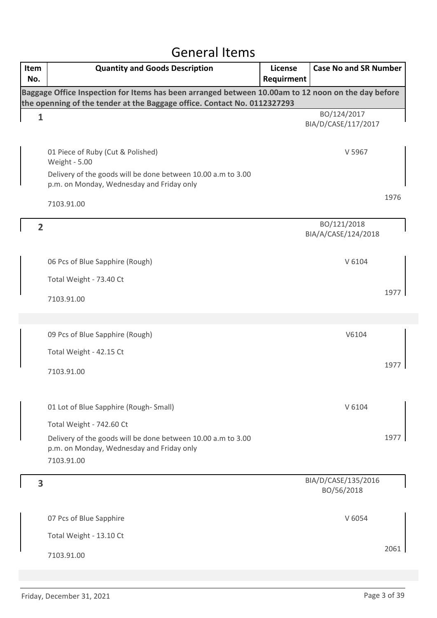### General Items

| Item<br>No.    | <b>Quantity and Goods Description</b>                                                                                                                                          | License<br>Requirment | <b>Case No and SR Number</b>       |      |
|----------------|--------------------------------------------------------------------------------------------------------------------------------------------------------------------------------|-----------------------|------------------------------------|------|
|                | Baggage Office Inspection for Items has been arranged between 10.00am to 12 noon on the day before<br>the openning of the tender at the Baggage office. Contact No. 0112327293 |                       |                                    |      |
| $\mathbf{1}$   |                                                                                                                                                                                |                       | BO/124/2017<br>BIA/D/CASE/117/2017 |      |
|                | 01 Piece of Ruby (Cut & Polished)<br>Weight - 5.00<br>Delivery of the goods will be done between 10.00 a.m to 3.00                                                             |                       | V 5967                             |      |
|                | p.m. on Monday, Wednesday and Friday only                                                                                                                                      |                       |                                    |      |
|                | 7103.91.00                                                                                                                                                                     |                       |                                    | 1976 |
| $\overline{2}$ |                                                                                                                                                                                |                       | BO/121/2018<br>BIA/A/CASE/124/2018 |      |
|                | 06 Pcs of Blue Sapphire (Rough)                                                                                                                                                |                       | V 6104                             |      |
|                | Total Weight - 73.40 Ct                                                                                                                                                        |                       |                                    |      |
|                | 7103.91.00                                                                                                                                                                     |                       |                                    | 1977 |
|                |                                                                                                                                                                                |                       |                                    |      |
|                | 09 Pcs of Blue Sapphire (Rough)                                                                                                                                                |                       | V6104                              |      |
|                | Total Weight - 42.15 Ct                                                                                                                                                        |                       |                                    |      |
|                | 7103.91.00                                                                                                                                                                     |                       |                                    | 1977 |
|                | 01 Lot of Blue Sapphire (Rough-Small)                                                                                                                                          |                       | V 6104                             |      |
|                | Total Weight - 742.60 Ct                                                                                                                                                       |                       |                                    |      |
|                | Delivery of the goods will be done between 10.00 a.m to 3.00<br>p.m. on Monday, Wednesday and Friday only<br>7103.91.00                                                        |                       |                                    | 1977 |
| 3              |                                                                                                                                                                                |                       | BIA/D/CASE/135/2016<br>BO/56/2018  |      |
|                | 07 Pcs of Blue Sapphire                                                                                                                                                        |                       | V 6054                             |      |
|                | Total Weight - 13.10 Ct                                                                                                                                                        |                       |                                    |      |
|                | 7103.91.00                                                                                                                                                                     |                       |                                    | 2061 |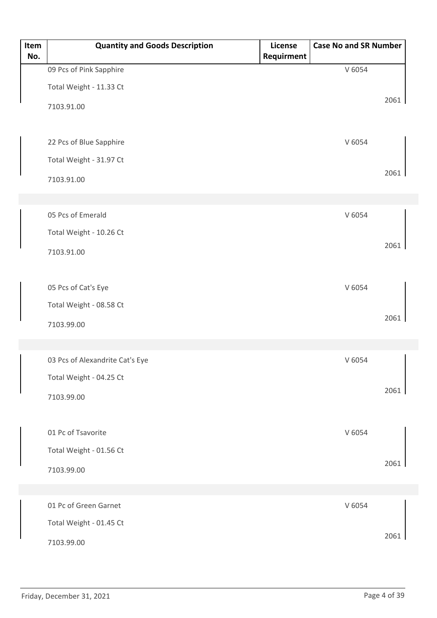| Item | <b>Quantity and Goods Description</b> | License    | <b>Case No and SR Number</b> |      |
|------|---------------------------------------|------------|------------------------------|------|
| No.  | 09 Pcs of Pink Sapphire               | Requirment | V 6054                       |      |
|      |                                       |            |                              |      |
|      | Total Weight - 11.33 Ct               |            |                              | 2061 |
|      | 7103.91.00                            |            |                              |      |
|      |                                       |            |                              |      |
|      | 22 Pcs of Blue Sapphire               |            | V 6054                       |      |
|      | Total Weight - 31.97 Ct               |            |                              |      |
|      | 7103.91.00                            |            |                              | 2061 |
|      |                                       |            |                              |      |
|      | 05 Pcs of Emerald                     |            | V 6054                       |      |
|      | Total Weight - 10.26 Ct               |            |                              |      |
|      |                                       |            |                              | 2061 |
|      | 7103.91.00                            |            |                              |      |
|      |                                       |            |                              |      |
|      | 05 Pcs of Cat's Eye                   |            | V 6054                       |      |
|      | Total Weight - 08.58 Ct               |            |                              | 2061 |
|      | 7103.99.00                            |            |                              |      |
|      |                                       |            |                              |      |
|      | 03 Pcs of Alexandrite Cat's Eye       |            | V 6054                       |      |
|      | Total Weight - 04.25 Ct               |            |                              |      |
|      | 7103.99.00                            |            |                              | 2061 |
|      |                                       |            |                              |      |
|      | 01 Pc of Tsavorite                    |            | V 6054                       |      |
|      | Total Weight - 01.56 Ct               |            |                              |      |
|      | 7103.99.00                            |            |                              | 2061 |
|      |                                       |            |                              |      |
|      |                                       |            |                              |      |
|      | 01 Pc of Green Garnet                 |            | V 6054                       |      |
|      | Total Weight - 01.45 Ct               |            |                              | 2061 |
|      | 7103.99.00                            |            |                              |      |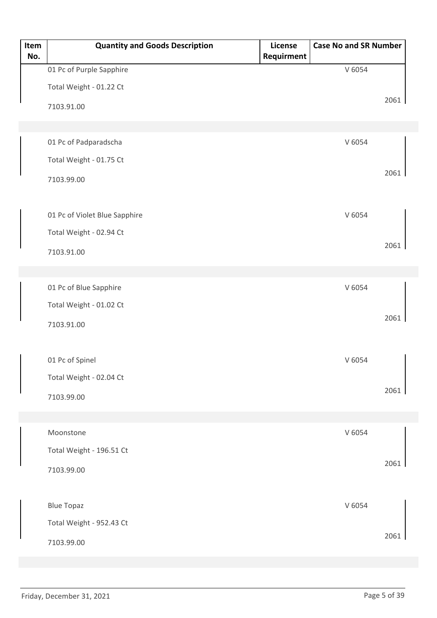| Item<br>No. | <b>Quantity and Goods Description</b> | License<br>Requirment | <b>Case No and SR Number</b> |      |
|-------------|---------------------------------------|-----------------------|------------------------------|------|
|             | 01 Pc of Purple Sapphire              |                       | V 6054                       |      |
|             | Total Weight - 01.22 Ct               |                       |                              |      |
|             | 7103.91.00                            |                       |                              | 2061 |
|             |                                       |                       |                              |      |
|             | 01 Pc of Padparadscha                 |                       | V 6054                       |      |
|             | Total Weight - 01.75 Ct               |                       |                              |      |
|             | 7103.99.00                            |                       |                              | 2061 |
|             |                                       |                       |                              |      |
|             | 01 Pc of Violet Blue Sapphire         |                       | V 6054                       |      |
|             | Total Weight - 02.94 Ct               |                       |                              |      |
|             | 7103.91.00                            |                       |                              | 2061 |
|             |                                       |                       |                              |      |
|             | 01 Pc of Blue Sapphire                |                       | V 6054                       |      |
|             | Total Weight - 01.02 Ct               |                       |                              |      |
|             | 7103.91.00                            |                       |                              | 2061 |
|             |                                       |                       |                              |      |
|             | 01 Pc of Spinel                       |                       | V 6054                       |      |
|             | Total Weight - 02.04 Ct               |                       |                              |      |
|             | 7103.99.00                            |                       |                              | 2061 |
|             |                                       |                       |                              |      |
|             | Moonstone                             |                       | V 6054                       |      |
|             | Total Weight - 196.51 Ct              |                       |                              |      |
|             | 7103.99.00                            |                       |                              | 2061 |
|             |                                       |                       |                              |      |
|             | <b>Blue Topaz</b>                     |                       | V 6054                       |      |
|             | Total Weight - 952.43 Ct              |                       |                              |      |
|             | 7103.99.00                            |                       |                              | 2061 |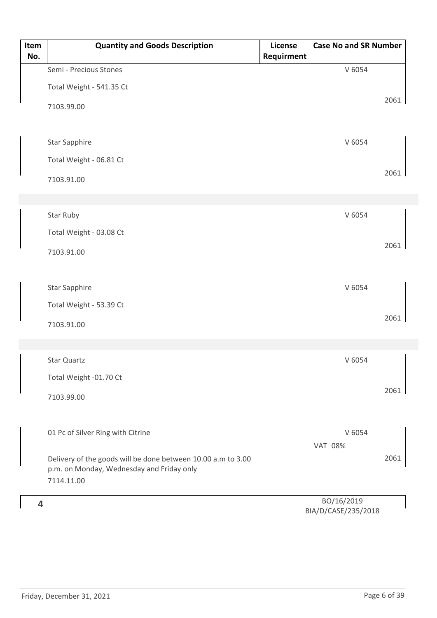|     |                                                              | License    |                          | <b>Case No and SR Number</b> |
|-----|--------------------------------------------------------------|------------|--------------------------|------------------------------|
| No. |                                                              | Requirment |                          |                              |
|     | Semi - Precious Stones                                       |            | V 6054                   |                              |
|     | Total Weight - 541.35 Ct                                     |            |                          |                              |
|     | 7103.99.00                                                   |            |                          | 2061                         |
|     |                                                              |            |                          |                              |
|     | <b>Star Sapphire</b>                                         |            | V 6054                   |                              |
|     | Total Weight - 06.81 Ct                                      |            |                          |                              |
|     | 7103.91.00                                                   |            |                          | 2061                         |
|     |                                                              |            |                          |                              |
|     | Star Ruby                                                    |            | V 6054                   |                              |
|     |                                                              |            |                          |                              |
|     | Total Weight - 03.08 Ct                                      |            |                          | 2061                         |
|     | 7103.91.00                                                   |            |                          |                              |
|     |                                                              |            |                          |                              |
|     | Star Sapphire                                                |            | V 6054                   |                              |
|     | Total Weight - 53.39 Ct                                      |            |                          |                              |
|     | 7103.91.00                                                   |            |                          | 2061                         |
|     |                                                              |            |                          |                              |
|     | Star Quartz                                                  |            | V 6054                   |                              |
|     | Total Weight -01.70 Ct                                       |            |                          |                              |
|     |                                                              |            |                          | 2061                         |
|     | 7103.99.00                                                   |            |                          |                              |
|     |                                                              |            |                          |                              |
|     | 01 Pc of Silver Ring with Citrine                            |            | V 6054<br><b>VAT 08%</b> |                              |
|     | Delivery of the goods will be done between 10.00 a.m to 3.00 |            |                          | 2061                         |
|     | p.m. on Monday, Wednesday and Friday only                    |            |                          |                              |
|     | 7114.11.00                                                   |            |                          |                              |
| 4   |                                                              |            | BO/16/2019               |                              |

BIA/D/CASE/235/2018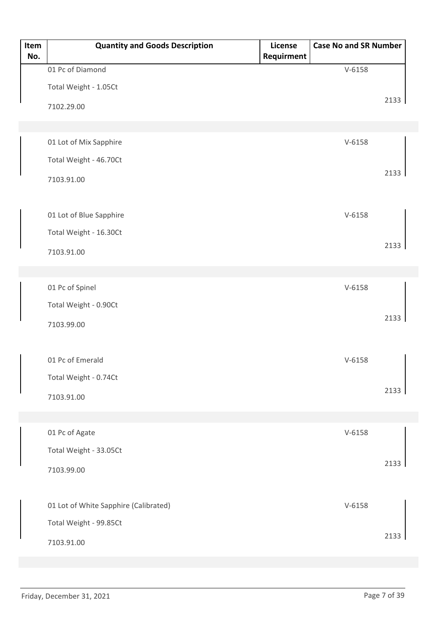| Item<br>No. | <b>Quantity and Goods Description</b> | License<br>Requirment | <b>Case No and SR Number</b> |      |
|-------------|---------------------------------------|-----------------------|------------------------------|------|
|             | 01 Pc of Diamond                      |                       | $V - 6158$                   |      |
|             | Total Weight - 1.05Ct                 |                       |                              |      |
|             | 7102.29.00                            |                       |                              | 2133 |
|             |                                       |                       |                              |      |
|             | 01 Lot of Mix Sapphire                |                       | $V-6158$                     |      |
|             | Total Weight - 46.70Ct                |                       |                              |      |
|             | 7103.91.00                            |                       |                              | 2133 |
|             | 01 Lot of Blue Sapphire               |                       | $V-6158$                     |      |
|             | Total Weight - 16.30Ct                |                       |                              |      |
|             | 7103.91.00                            |                       |                              | 2133 |
|             |                                       |                       |                              |      |
|             | 01 Pc of Spinel                       |                       | $V-6158$                     |      |
|             | Total Weight - 0.90Ct                 |                       |                              |      |
|             | 7103.99.00                            |                       |                              | 2133 |
|             |                                       |                       |                              |      |
|             | 01 Pc of Emerald                      |                       | $V-6158$                     |      |
|             | Total Weight - 0.74Ct                 |                       |                              |      |
|             | 7103.91.00                            |                       |                              | 2133 |
|             |                                       |                       |                              |      |
|             | 01 Pc of Agate                        |                       | $V - 6158$                   |      |
|             | Total Weight - 33.05Ct                |                       |                              |      |
|             | 7103.99.00                            |                       |                              | 2133 |
|             | 01 Lot of White Sapphire (Calibrated) |                       | $V-6158$                     |      |
|             | Total Weight - 99.85Ct                |                       |                              |      |
|             | 7103.91.00                            |                       |                              | 2133 |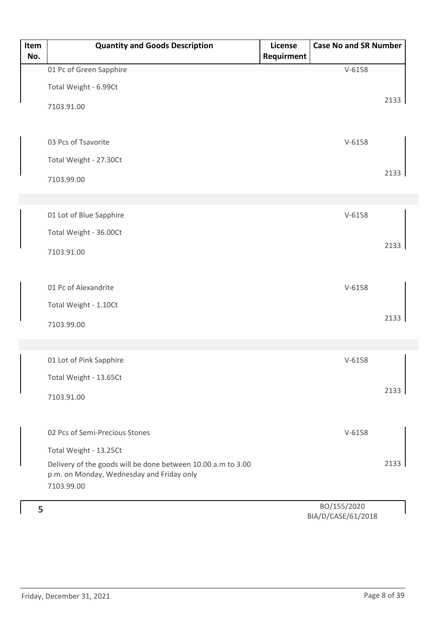| Item<br>No. | <b>Quantity and Goods Description</b>                                                                                   | License<br>Requirment | <b>Case No and SR Number</b> |      |
|-------------|-------------------------------------------------------------------------------------------------------------------------|-----------------------|------------------------------|------|
|             | 01 Pc of Green Sapphire                                                                                                 |                       | $V-6158$                     |      |
|             | Total Weight - 6.99Ct                                                                                                   |                       |                              |      |
|             | 7103.91.00                                                                                                              |                       |                              | 2133 |
|             | 03 Pcs of Tsavorite                                                                                                     |                       | $V-6158$                     |      |
|             | Total Weight - 27.30Ct                                                                                                  |                       |                              |      |
|             | 7103.99.00                                                                                                              |                       |                              | 2133 |
|             | 01 Lot of Blue Sapphire                                                                                                 |                       | $V-6158$                     |      |
|             | Total Weight - 36.00Ct                                                                                                  |                       |                              |      |
|             | 7103.91.00                                                                                                              |                       |                              | 2133 |
|             | 01 Pc of Alexandrite                                                                                                    |                       | $V-6158$                     |      |
|             | Total Weight - 1.10Ct                                                                                                   |                       |                              |      |
|             | 7103.99.00                                                                                                              |                       |                              | 2133 |
|             |                                                                                                                         |                       |                              |      |
|             | 01 Lot of Pink Sapphire                                                                                                 |                       | $V-6158$                     |      |
|             | Total Weight - 13.65Ct                                                                                                  |                       |                              | 2133 |
|             | 7103.91.00                                                                                                              |                       |                              |      |
|             | 02 Pcs of Semi-Precious Stones                                                                                          |                       | $V-6158$                     |      |
|             | Total Weight - 13.25Ct                                                                                                  |                       |                              |      |
|             | Delivery of the goods will be done between 10.00 a.m to 3.00<br>p.m. on Monday, Wednesday and Friday only<br>7103.99.00 |                       |                              | 2133 |
|             |                                                                                                                         |                       |                              |      |
| 5           |                                                                                                                         |                       | BO/155/2020<br>ICACHIA       |      |

BIA/D/CASE/61/2018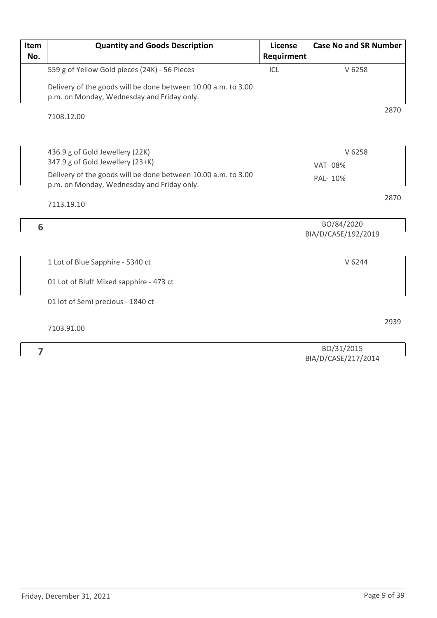| Item | <b>Quantity and Goods Description</b>                                                                                                | License    | <b>Case No and SR Number</b>         |      |
|------|--------------------------------------------------------------------------------------------------------------------------------------|------------|--------------------------------------|------|
| No.  |                                                                                                                                      | Requirment |                                      |      |
|      | 559 g of Yellow Gold pieces (24K) - 56 Pieces                                                                                        | ICL        | V 6258                               |      |
|      | Delivery of the goods will be done between 10.00 a.m. to 3.00<br>p.m. on Monday, Wednesday and Friday only.                          |            |                                      |      |
|      | 7108.12.00                                                                                                                           |            |                                      | 2870 |
|      | 436.9 g of Gold Jewellery (22K)<br>347.9 g of Gold Jewellery (23+K)<br>Delivery of the goods will be done between 10.00 a.m. to 3.00 |            | V 6258<br><b>VAT 08%</b><br>PAL- 10% |      |
|      | p.m. on Monday, Wednesday and Friday only.                                                                                           |            |                                      |      |
|      | 7113.19.10                                                                                                                           |            |                                      | 2870 |
| 6    |                                                                                                                                      |            | BO/84/2020<br>BIA/D/CASE/192/2019    |      |
|      | 1 Lot of Blue Sapphire - 5340 ct                                                                                                     |            | V 6244                               |      |
|      | 01 Lot of Bluff Mixed sapphire - 473 ct                                                                                              |            |                                      |      |
|      | 01 lot of Semi precious - 1840 ct                                                                                                    |            |                                      |      |
|      | 7103.91.00                                                                                                                           |            |                                      | 2939 |
| 7    |                                                                                                                                      |            | BO/31/2015                           |      |

**7**

BO/31/2015 BIA/D/CASE/217/2014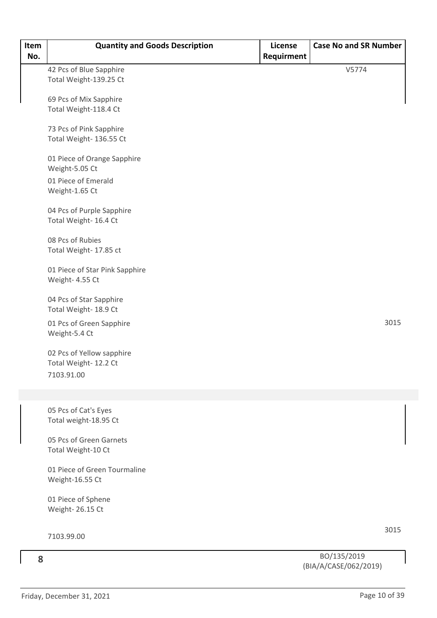| Item<br>No. | <b>Quantity and Goods Description</b>              | License<br>Requirment | <b>Case No and SR Number</b> |
|-------------|----------------------------------------------------|-----------------------|------------------------------|
|             | 42 Pcs of Blue Sapphire                            |                       | V5774                        |
|             | Total Weight-139.25 Ct                             |                       |                              |
|             |                                                    |                       |                              |
|             | 69 Pcs of Mix Sapphire<br>Total Weight-118.4 Ct    |                       |                              |
|             |                                                    |                       |                              |
|             | 73 Pcs of Pink Sapphire                            |                       |                              |
|             | Total Weight- 136.55 Ct                            |                       |                              |
|             | 01 Piece of Orange Sapphire<br>Weight-5.05 Ct      |                       |                              |
|             | 01 Piece of Emerald<br>Weight-1.65 Ct              |                       |                              |
|             | 04 Pcs of Purple Sapphire<br>Total Weight- 16.4 Ct |                       |                              |
|             | 08 Pcs of Rubies<br>Total Weight- 17.85 ct         |                       |                              |
|             | 01 Piece of Star Pink Sapphire<br>Weight- 4.55 Ct  |                       |                              |
|             | 04 Pcs of Star Sapphire<br>Total Weight- 18.9 Ct   |                       |                              |
|             | 01 Pcs of Green Sapphire<br>Weight-5.4 Ct          |                       | 3015                         |
|             | 02 Pcs of Yellow sapphire<br>Total Weight-12.2 Ct  |                       |                              |
|             | 7103.91.00                                         |                       |                              |
|             |                                                    |                       |                              |
|             | 05 Pcs of Cat's Eyes<br>Total weight-18.95 Ct      |                       |                              |
|             | 05 Pcs of Green Garnets<br>Total Weight-10 Ct      |                       |                              |
|             | 01 Piece of Green Tourmaline<br>Weight-16.55 Ct    |                       |                              |
|             | 01 Piece of Sphene<br>Weight- 26.15 Ct             |                       |                              |
|             |                                                    |                       |                              |
|             | 7103.99.00                                         |                       | 3015                         |
| 8           |                                                    |                       | BO/135/2019                  |

(BIA/A/CASE/062/2019)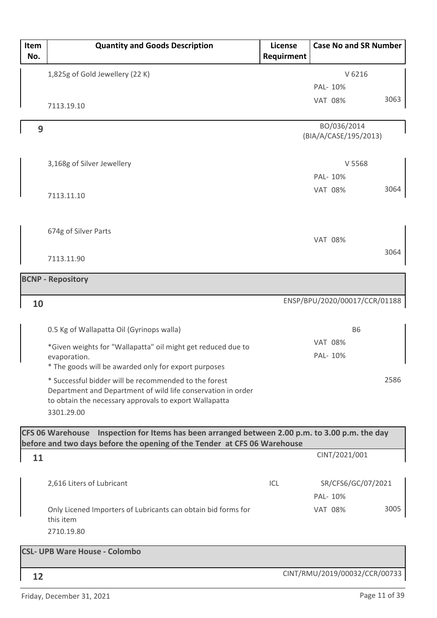| Item<br>No. | <b>Quantity and Goods Description</b>                                                                                 | <b>License</b><br>Requirment | <b>Case No and SR Number</b>         |      |
|-------------|-----------------------------------------------------------------------------------------------------------------------|------------------------------|--------------------------------------|------|
|             | 1,825g of Gold Jewellery (22 K)                                                                                       |                              | V 6216                               |      |
|             |                                                                                                                       |                              | PAL- 10%                             |      |
|             | 7113.19.10                                                                                                            |                              | <b>VAT 08%</b>                       | 3063 |
|             |                                                                                                                       |                              |                                      |      |
| 9           |                                                                                                                       |                              | BO/036/2014<br>(BIA/A/CASE/195/2013) |      |
|             |                                                                                                                       |                              |                                      |      |
|             | 3,168g of Silver Jewellery                                                                                            |                              | V 5568                               |      |
|             |                                                                                                                       |                              | PAL- 10%                             |      |
|             | 7113.11.10                                                                                                            |                              | <b>VAT 08%</b>                       | 3064 |
|             |                                                                                                                       |                              |                                      |      |
|             |                                                                                                                       |                              |                                      |      |
|             | 674g of Silver Parts                                                                                                  |                              | <b>VAT 08%</b>                       |      |
|             |                                                                                                                       |                              |                                      | 3064 |
|             | 7113.11.90                                                                                                            |                              |                                      |      |
|             | <b>BCNP - Repository</b>                                                                                              |                              |                                      |      |
|             |                                                                                                                       |                              | ENSP/BPU/2020/00017/CCR/01188        |      |
| 10          |                                                                                                                       |                              |                                      |      |
|             | 0.5 Kg of Wallapatta Oil (Gyrinops walla)                                                                             |                              | <b>B6</b>                            |      |
|             | *Given weights for "Wallapatta" oil might get reduced due to                                                          |                              | <b>VAT 08%</b>                       |      |
|             | evaporation.                                                                                                          |                              | PAL- 10%                             |      |
|             | * The goods will be awarded only for export purposes                                                                  |                              |                                      |      |
|             | * Successful bidder will be recommended to the forest<br>Department and Department of wild life conservation in order |                              |                                      | 2586 |
|             | to obtain the necessary approvals to export Wallapatta                                                                |                              |                                      |      |
|             | 3301.29.00                                                                                                            |                              |                                      |      |
|             | CFS 06 Warehouse Inspection for Items has been arranged between 2.00 p.m. to 3.00 p.m. the day                        |                              |                                      |      |
|             | before and two days before the opening of the Tender at CFS 06 Warehouse                                              |                              |                                      |      |
| 11          |                                                                                                                       |                              | CINT/2021/001                        |      |
|             | 2,616 Liters of Lubricant                                                                                             | ICL                          | SR/CFS6/GC/07/2021                   |      |
|             |                                                                                                                       |                              | PAL- 10%                             |      |
|             | Only Licened Importers of Lubricants can obtain bid forms for                                                         |                              | <b>VAT 08%</b>                       | 3005 |
|             | this item                                                                                                             |                              |                                      |      |
|             | 2710.19.80                                                                                                            |                              |                                      |      |
|             | <b>CSL- UPB Ware House - Colombo</b>                                                                                  |                              |                                      |      |
|             |                                                                                                                       |                              |                                      |      |
| 12          |                                                                                                                       |                              | CINT/RMU/2019/00032/CCR/00733        |      |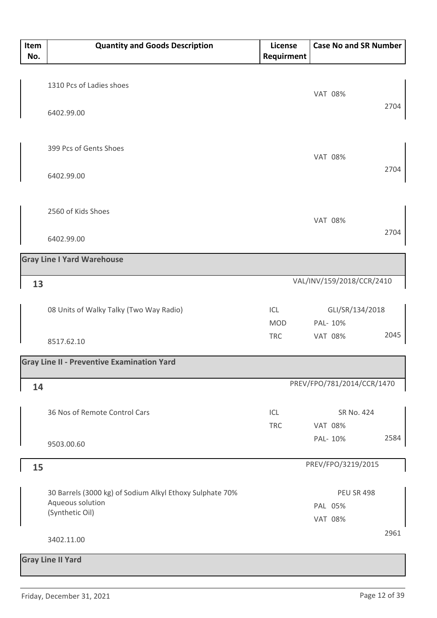| Item<br>No. | <b>Quantity and Goods Description</b>                    | License<br>Requirment | <b>Case No and SR Number</b> |      |
|-------------|----------------------------------------------------------|-----------------------|------------------------------|------|
|             | 1310 Pcs of Ladies shoes                                 |                       |                              |      |
|             | 6402.99.00                                               |                       | <b>VAT 08%</b>               | 2704 |
|             | 399 Pcs of Gents Shoes                                   |                       | <b>VAT 08%</b>               |      |
|             | 6402.99.00                                               |                       |                              | 2704 |
|             | 2560 of Kids Shoes                                       |                       | <b>VAT 08%</b>               |      |
|             | 6402.99.00                                               |                       |                              | 2704 |
|             | <b>Gray Line I Yard Warehouse</b>                        |                       |                              |      |
| 13          |                                                          |                       | VAL/INV/159/2018/CCR/2410    |      |
|             | 08 Units of Walky Talky (Two Way Radio)                  | ICL                   | GLI/SR/134/2018              |      |
|             |                                                          | <b>MOD</b>            | PAL- 10%                     |      |
|             | 8517.62.10                                               | <b>TRC</b>            | <b>VAT 08%</b>               | 2045 |
|             | <b>Gray Line II - Preventive Examination Yard</b>        |                       |                              |      |
| 14          |                                                          |                       | PREV/FPO/781/2014/CCR/1470   |      |
|             | 36 Nos of Remote Control Cars                            | ICL                   | SR No. 424                   |      |
|             |                                                          | <b>TRC</b>            | <b>VAT 08%</b>               |      |
|             | 9503.00.60                                               |                       | PAL- 10%                     | 2584 |
| 15          |                                                          |                       | PREV/FPO/3219/2015           |      |
|             | 30 Barrels (3000 kg) of Sodium Alkyl Ethoxy Sulphate 70% |                       | <b>PEU SR 498</b>            |      |
|             | Aqueous solution                                         |                       | PAL 05%                      |      |
|             | (Synthetic Oil)                                          |                       | <b>VAT 08%</b>               |      |
|             | 3402.11.00                                               |                       |                              | 2961 |
|             | <b>Gray Line II Yard</b>                                 |                       |                              |      |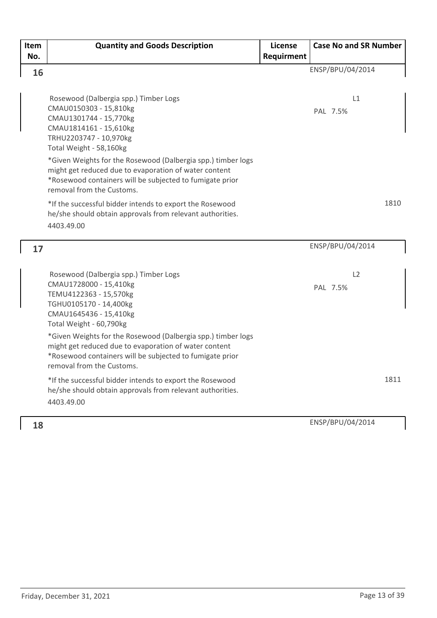| Item<br>No. | <b>Quantity and Goods Description</b>                                                                                                                                                                                                                                                                                                                                                      | License<br>Requirment | <b>Case No and SR Number</b> |      |
|-------------|--------------------------------------------------------------------------------------------------------------------------------------------------------------------------------------------------------------------------------------------------------------------------------------------------------------------------------------------------------------------------------------------|-----------------------|------------------------------|------|
| 16          |                                                                                                                                                                                                                                                                                                                                                                                            |                       | ENSP/BPU/04/2014             |      |
|             | Rosewood (Dalbergia spp.) Timber Logs<br>CMAU0150303 - 15,810kg<br>CMAU1301744 - 15,770kg<br>CMAU1814161 - 15,610kg<br>TRHU2203747 - 10,970kg<br>Total Weight - 58,160kg<br>*Given Weights for the Rosewood (Dalbergia spp.) timber logs<br>might get reduced due to evaporation of water content<br>*Rosewood containers will be subjected to fumigate prior<br>removal from the Customs. |                       | L1<br>PAL 7.5%               |      |
|             | *If the successful bidder intends to export the Rosewood<br>he/she should obtain approvals from relevant authorities.<br>4403.49.00                                                                                                                                                                                                                                                        |                       |                              | 1810 |
| 17          |                                                                                                                                                                                                                                                                                                                                                                                            |                       | ENSP/BPU/04/2014             |      |
|             | Rosewood (Dalbergia spp.) Timber Logs<br>CMAU1728000 - 15,410kg<br>TEMU4122363 - 15,570kg<br>TGHU0105170 - 14,400kg<br>CMAU1645436 - 15,410kg<br>Total Weight - 60,790kg                                                                                                                                                                                                                   |                       | L2<br>PAL 7.5%               |      |
|             | *Given Weights for the Rosewood (Dalbergia spp.) timber logs<br>might get reduced due to evaporation of water content<br>*Rosewood containers will be subjected to fumigate prior<br>removal from the Customs.                                                                                                                                                                             |                       |                              |      |
|             | *If the successful bidder intends to export the Rosewood<br>he/she should obtain approvals from relevant authorities.<br>4403.49.00                                                                                                                                                                                                                                                        |                       |                              | 1811 |
| 18          |                                                                                                                                                                                                                                                                                                                                                                                            |                       | ENSP/BPU/04/2014             |      |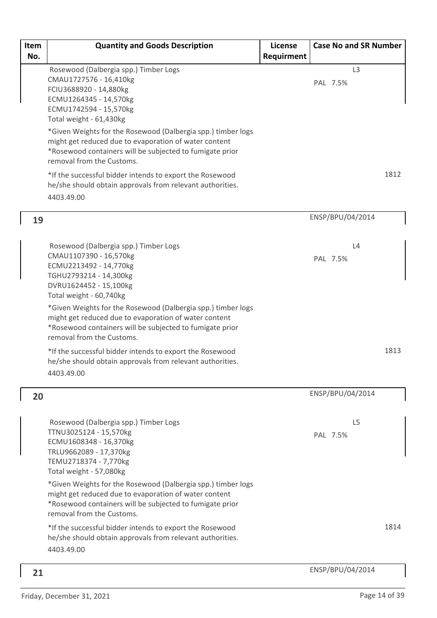| Item<br>No. | <b>Quantity and Goods Description</b>                                                                                                                                                                                                                                                                                                                                                                                                                                                                                             | License<br>Requirment | <b>Case No and SR Number</b> |      |
|-------------|-----------------------------------------------------------------------------------------------------------------------------------------------------------------------------------------------------------------------------------------------------------------------------------------------------------------------------------------------------------------------------------------------------------------------------------------------------------------------------------------------------------------------------------|-----------------------|------------------------------|------|
|             | Rosewood (Dalbergia spp.) Timber Logs<br>CMAU1727576 - 16,410kg<br>FCIU3688920 - 14,880kg<br>ECMU1264345 - 14,570kg<br>ECMU1742594 - 15,570kg<br>Total weight - 61,430kg<br>*Given Weights for the Rosewood (Dalbergia spp.) timber logs<br>might get reduced due to evaporation of water content<br>*Rosewood containers will be subjected to fumigate prior<br>removal from the Customs.<br>*If the successful bidder intends to export the Rosewood<br>he/she should obtain approvals from relevant authorities.<br>4403.49.00 |                       | L <sub>3</sub><br>PAL 7.5%   | 1812 |
| 19          |                                                                                                                                                                                                                                                                                                                                                                                                                                                                                                                                   |                       | ENSP/BPU/04/2014             |      |
|             | Rosewood (Dalbergia spp.) Timber Logs<br>CMAU1107390 - 16,570kg<br>ECMU2213492 - 14,770kg<br>TGHU2793214 - 14,300kg<br>DVRU1624452 - 15,100kg<br>Total weight - 60,740kg                                                                                                                                                                                                                                                                                                                                                          |                       | L4<br>PAL 7.5%               |      |
|             | *Given Weights for the Rosewood (Dalbergia spp.) timber logs<br>might get reduced due to evaporation of water content<br>*Rosewood containers will be subjected to fumigate prior<br>removal from the Customs.                                                                                                                                                                                                                                                                                                                    |                       |                              |      |
|             | *If the successful bidder intends to export the Rosewood<br>he/she should obtain approvals from relevant authorities.<br>4403.49.00                                                                                                                                                                                                                                                                                                                                                                                               |                       |                              | 1813 |
| 20          |                                                                                                                                                                                                                                                                                                                                                                                                                                                                                                                                   |                       | ENSP/BPU/04/2014             |      |
|             | Rosewood (Dalbergia spp.) Timber Logs<br>TTNU3025124 - 15,570kg<br>ECMU1608348 - 16,370kg<br>TRLU9662089 - 17,370kg<br>TEMU2718374 - 7,770kg<br>Total weight - 57,080kg                                                                                                                                                                                                                                                                                                                                                           |                       | L <sub>5</sub><br>PAL 7.5%   |      |
|             | *Given Weights for the Rosewood (Dalbergia spp.) timber logs<br>might get reduced due to evaporation of water content<br>*Rosewood containers will be subjected to fumigate prior<br>removal from the Customs.                                                                                                                                                                                                                                                                                                                    |                       |                              |      |
|             | *If the successful bidder intends to export the Rosewood<br>he/she should obtain approvals from relevant authorities.<br>4403.49.00                                                                                                                                                                                                                                                                                                                                                                                               |                       |                              | 1814 |
| 21          |                                                                                                                                                                                                                                                                                                                                                                                                                                                                                                                                   |                       | ENSP/BPU/04/2014             |      |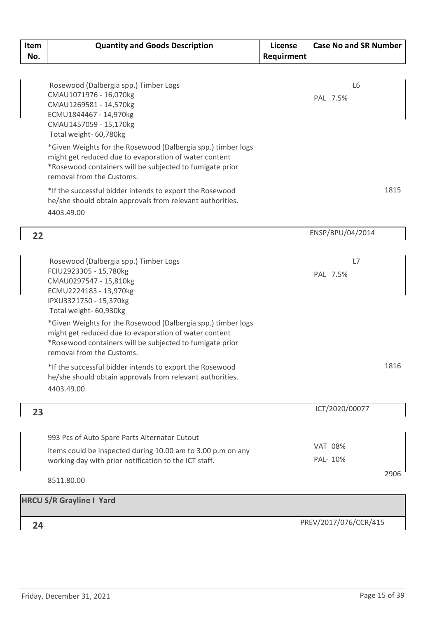| Item | <b>Quantity and Goods Description</b>                                   | License    | <b>Case No and SR Number</b> |      |
|------|-------------------------------------------------------------------------|------------|------------------------------|------|
| No.  |                                                                         | Requirment |                              |      |
|      |                                                                         |            |                              |      |
|      | Rosewood (Dalbergia spp.) Timber Logs                                   |            | L6                           |      |
|      | CMAU1071976 - 16,070kg                                                  |            | PAL 7.5%                     |      |
|      | CMAU1269581 - 14,570kg                                                  |            |                              |      |
|      | ECMU1844467 - 14,970kg                                                  |            |                              |      |
|      | CMAU1457059 - 15,170kg<br>Total weight- 60,780kg                        |            |                              |      |
|      | *Given Weights for the Rosewood (Dalbergia spp.) timber logs            |            |                              |      |
|      | might get reduced due to evaporation of water content                   |            |                              |      |
|      | *Rosewood containers will be subjected to fumigate prior                |            |                              |      |
|      | removal from the Customs.                                               |            |                              |      |
|      | *If the successful bidder intends to export the Rosewood                |            |                              | 1815 |
|      | he/she should obtain approvals from relevant authorities.<br>4403.49.00 |            |                              |      |
|      |                                                                         |            |                              |      |
| 22   |                                                                         |            | ENSP/BPU/04/2014             |      |
|      |                                                                         |            |                              |      |
|      | Rosewood (Dalbergia spp.) Timber Logs                                   |            | L7                           |      |
|      | FCIU2923305 - 15,780kg                                                  |            | PAL 7.5%                     |      |
|      | CMAU0297547 - 15,810kg                                                  |            |                              |      |
|      | ECMU2224183 - 13,970kg<br>IPXU3321750 - 15,370kg                        |            |                              |      |
|      | Total weight- 60,930kg                                                  |            |                              |      |
|      | *Given Weights for the Rosewood (Dalbergia spp.) timber logs            |            |                              |      |
|      | might get reduced due to evaporation of water content                   |            |                              |      |
|      | *Rosewood containers will be subjected to fumigate prior                |            |                              |      |
|      | removal from the Customs.                                               |            |                              |      |
|      | *If the successful bidder intends to export the Rosewood                |            |                              | 1816 |
|      | he/she should obtain approvals from relevant authorities.               |            |                              |      |
|      | 4403.49.00                                                              |            |                              |      |
| 23   |                                                                         |            | ICT/2020/00077               |      |
|      |                                                                         |            |                              |      |
|      | 993 Pcs of Auto Spare Parts Alternator Cutout                           |            |                              |      |
|      | Items could be inspected during 10.00 am to 3.00 p.m on any             |            | <b>VAT 08%</b>               |      |
|      | working day with prior notification to the ICT staff.                   |            | PAL- 10%                     |      |
|      | 8511.80.00                                                              |            |                              | 2906 |
|      |                                                                         |            |                              |      |
|      | <b>HRCU S/R Grayline I Yard</b>                                         |            |                              |      |
|      |                                                                         |            | PREV/2017/076/CCR/415        |      |
| 24   |                                                                         |            |                              |      |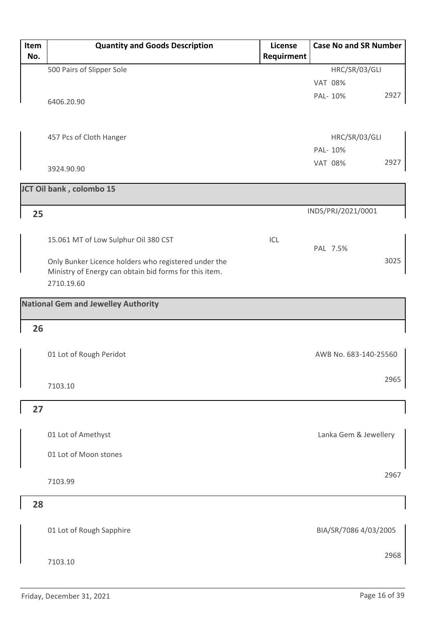| Item | <b>Quantity and Goods Description</b>                  | License    | <b>Case No and SR Number</b> |
|------|--------------------------------------------------------|------------|------------------------------|
| No.  |                                                        | Requirment |                              |
|      | 500 Pairs of Slipper Sole                              |            | HRC/SR/03/GLI                |
|      |                                                        |            | <b>VAT 08%</b>               |
|      | 6406.20.90                                             |            | 2927<br>PAL- 10%             |
|      |                                                        |            |                              |
|      |                                                        |            |                              |
|      | 457 Pcs of Cloth Hanger                                |            | HRC/SR/03/GLI                |
|      |                                                        |            | PAL- 10%                     |
|      |                                                        |            | 2927<br><b>VAT 08%</b>       |
|      | 3924.90.90                                             |            |                              |
|      | JCT Oil bank, colombo 15                               |            |                              |
|      |                                                        |            |                              |
| 25   |                                                        |            | INDS/PRJ/2021/0001           |
|      |                                                        |            |                              |
|      | 15.061 MT of Low Sulphur Oil 380 CST                   | ICL        |                              |
|      |                                                        |            | PAL 7.5%                     |
|      | Only Bunker Licence holders who registered under the   |            | 3025                         |
|      | Ministry of Energy can obtain bid forms for this item. |            |                              |
|      | 2710.19.60                                             |            |                              |
|      | <b>National Gem and Jewelley Authority</b>             |            |                              |
|      |                                                        |            |                              |
| 26   |                                                        |            |                              |
|      |                                                        |            |                              |
|      | 01 Lot of Rough Peridot                                |            | AWB No. 683-140-25560        |
|      |                                                        |            |                              |
|      | 7103.10                                                |            | 2965                         |
|      |                                                        |            |                              |
| 27   |                                                        |            |                              |
|      |                                                        |            |                              |
|      | 01 Lot of Amethyst                                     |            | Lanka Gem & Jewellery        |
|      |                                                        |            |                              |
|      | 01 Lot of Moon stones                                  |            |                              |
|      |                                                        |            | 2967                         |
|      | 7103.99                                                |            |                              |
|      |                                                        |            |                              |
| 28   |                                                        |            |                              |
|      |                                                        |            |                              |
|      | 01 Lot of Rough Sapphire                               |            | BIA/SR/7086 4/03/2005        |
|      |                                                        |            |                              |
|      | 7103.10                                                |            | 2968                         |
|      |                                                        |            |                              |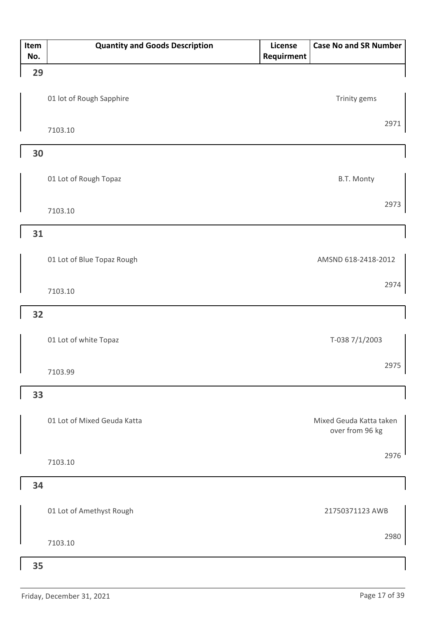| Item | <b>Quantity and Goods Description</b> | License           | <b>Case No and SR Number</b>               |
|------|---------------------------------------|-------------------|--------------------------------------------|
| No.  |                                       | <b>Requirment</b> |                                            |
| 29   |                                       |                   |                                            |
|      | 01 lot of Rough Sapphire              |                   | Trinity gems                               |
|      | 7103.10                               |                   | 2971                                       |
| 30   |                                       |                   |                                            |
|      | 01 Lot of Rough Topaz                 |                   | B.T. Monty                                 |
|      | 7103.10                               |                   | 2973                                       |
| 31   |                                       |                   |                                            |
|      | 01 Lot of Blue Topaz Rough            |                   | AMSND 618-2418-2012                        |
|      | 7103.10                               |                   | 2974                                       |
| 32   |                                       |                   |                                            |
|      | 01 Lot of white Topaz                 |                   | T-038 7/1/2003                             |
|      | 7103.99                               |                   | 2975                                       |
| 33   |                                       |                   |                                            |
|      | 01 Lot of Mixed Geuda Katta           |                   | Mixed Geuda Katta taken<br>over from 96 kg |
|      | 7103.10                               |                   | 2976                                       |
| 34   |                                       |                   |                                            |
|      | 01 Lot of Amethyst Rough              |                   | 21750371123 AWB                            |
|      | 7103.10                               |                   | 2980                                       |
| 35   |                                       |                   |                                            |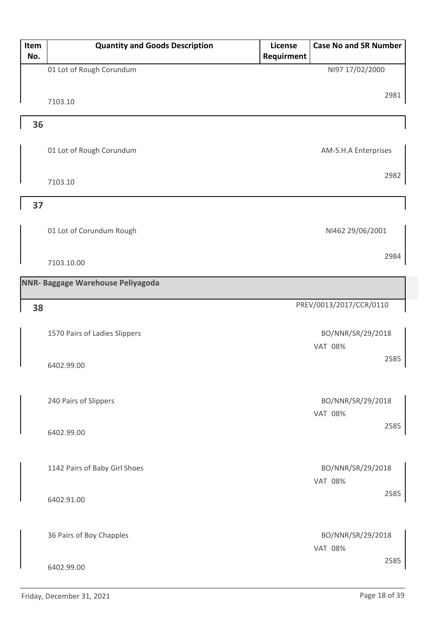| Item | <b>Quantity and Goods Description</b> | License    | <b>Case No and SR Number</b>        |      |
|------|---------------------------------------|------------|-------------------------------------|------|
| No.  |                                       | Requirment |                                     |      |
|      | 01 Lot of Rough Corundum              |            | NI97 17/02/2000                     |      |
|      |                                       |            |                                     |      |
|      | 7103.10                               |            |                                     | 2981 |
|      |                                       |            |                                     |      |
| 36   |                                       |            |                                     |      |
|      |                                       |            |                                     |      |
|      | 01 Lot of Rough Corundum              |            | AM-S.H.A Enterprises                |      |
|      |                                       |            |                                     | 2982 |
|      | 7103.10                               |            |                                     |      |
| 37   |                                       |            |                                     |      |
|      |                                       |            |                                     |      |
|      | 01 Lot of Corundum Rough              |            | NI462 29/06/2001                    |      |
|      |                                       |            |                                     |      |
|      | 7103.10.00                            |            |                                     | 2984 |
|      |                                       |            |                                     |      |
|      | NNR- Baggage Warehouse Peliyagoda     |            |                                     |      |
|      |                                       |            | PREV/0013/2017/CCR/0110             |      |
| 38   |                                       |            |                                     |      |
|      | 1570 Pairs of Ladies Slippers         |            | BO/NNR/SR/29/2018                   |      |
|      |                                       |            | <b>VAT 08%</b>                      |      |
|      |                                       |            |                                     | 2585 |
|      | 6402.99.00                            |            |                                     |      |
|      |                                       |            |                                     |      |
|      | 240 Pairs of Slippers                 |            | BO/NNR/SR/29/2018                   |      |
|      |                                       |            | <b>VAT 08%</b>                      |      |
|      | 6402.99.00                            |            |                                     | 2585 |
|      |                                       |            |                                     |      |
|      |                                       |            |                                     |      |
|      | 1142 Pairs of Baby Girl Shoes         |            | BO/NNR/SR/29/2018                   |      |
|      |                                       |            | <b>VAT 08%</b>                      |      |
|      | 6402.91.00                            |            |                                     | 2585 |
|      |                                       |            |                                     |      |
|      |                                       |            |                                     |      |
|      | 36 Pairs of Boy Chapples              |            | BO/NNR/SR/29/2018<br><b>VAT 08%</b> |      |
|      |                                       |            |                                     | 2585 |
|      | 6402.99.00                            |            |                                     |      |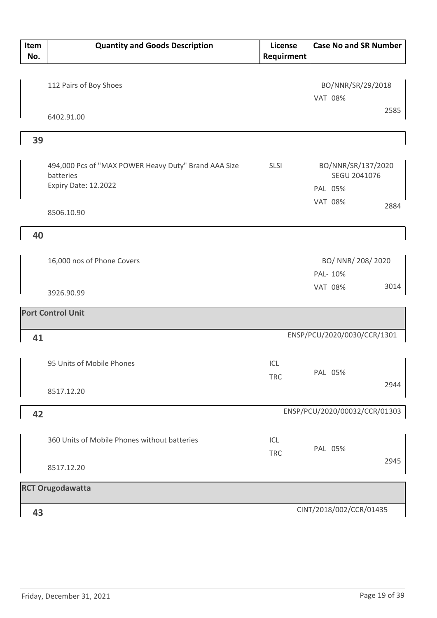| Item<br>No. | <b>Quantity and Goods Description</b>                                                     | License<br>Requirment | <b>Case No and SR Number</b>                  |
|-------------|-------------------------------------------------------------------------------------------|-----------------------|-----------------------------------------------|
|             | 112 Pairs of Boy Shoes                                                                    |                       | BO/NNR/SR/29/2018<br><b>VAT 08%</b>           |
|             | 6402.91.00                                                                                |                       | 2585                                          |
| 39          |                                                                                           |                       |                                               |
|             | 494,000 Pcs of "MAX POWER Heavy Duty" Brand AAA Size<br>batteries<br>Expiry Date: 12.2022 | SLSI                  | BO/NNR/SR/137/2020<br>SEGU 2041076<br>PAL 05% |
|             | 8506.10.90                                                                                |                       | <b>VAT 08%</b><br>2884                        |
| 40          |                                                                                           |                       |                                               |
|             | 16,000 nos of Phone Covers                                                                |                       | BO/ NNR/ 208/ 2020<br>PAL- 10%                |
|             | 3926.90.99                                                                                |                       | 3014<br><b>VAT 08%</b>                        |
|             | <b>Port Control Unit</b>                                                                  |                       |                                               |
| 41          |                                                                                           |                       | ENSP/PCU/2020/0030/CCR/1301                   |
|             | 95 Units of Mobile Phones                                                                 | ICL<br><b>TRC</b>     | PAL 05%<br>2944                               |
|             | 8517.12.20                                                                                |                       |                                               |
| 42          |                                                                                           |                       | ENSP/PCU/2020/00032/CCR/01303                 |
|             | 360 Units of Mobile Phones without batteries                                              | ICL<br><b>TRC</b>     | PAL 05%<br>2945                               |
|             | 8517.12.20                                                                                |                       |                                               |
|             | <b>RCT Orugodawatta</b>                                                                   |                       |                                               |
| 43          |                                                                                           |                       | CINT/2018/002/CCR/01435                       |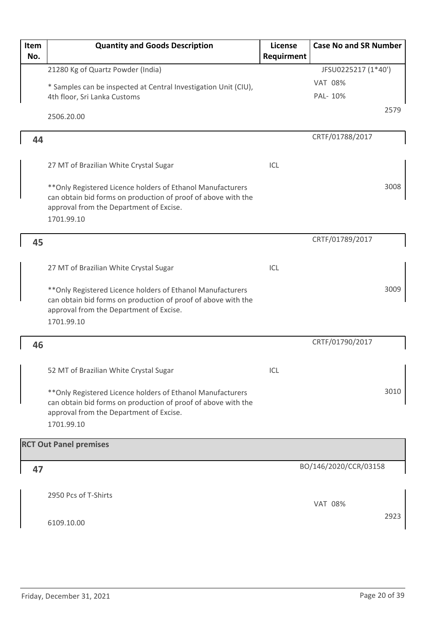| Item<br>No. | <b>Quantity and Goods Description</b>                                                                                                                                                 | License<br>Requirment | <b>Case No and SR Number</b> |
|-------------|---------------------------------------------------------------------------------------------------------------------------------------------------------------------------------------|-----------------------|------------------------------|
|             | 21280 Kg of Quartz Powder (India)                                                                                                                                                     |                       | JFSU0225217 (1*40')          |
|             | * Samples can be inspected at Central Investigation Unit (CIU),                                                                                                                       |                       | <b>VAT 08%</b>               |
|             | 4th floor, Sri Lanka Customs                                                                                                                                                          |                       | PAL- 10%                     |
|             | 2506.20.00                                                                                                                                                                            |                       | 2579                         |
| 44          |                                                                                                                                                                                       |                       | CRTF/01788/2017              |
|             | 27 MT of Brazilian White Crystal Sugar                                                                                                                                                | ICL                   |                              |
|             | ** Only Registered Licence holders of Ethanol Manufacturers<br>can obtain bid forms on production of proof of above with the<br>approval from the Department of Excise.<br>1701.99.10 |                       | 3008                         |
| 45          |                                                                                                                                                                                       |                       | CRTF/01789/2017              |
|             |                                                                                                                                                                                       |                       |                              |
|             | 27 MT of Brazilian White Crystal Sugar                                                                                                                                                | ICL                   |                              |
|             | ** Only Registered Licence holders of Ethanol Manufacturers<br>can obtain bid forms on production of proof of above with the<br>approval from the Department of Excise.<br>1701.99.10 |                       | 3009                         |
| 46          |                                                                                                                                                                                       |                       | CRTF/01790/2017              |
|             |                                                                                                                                                                                       |                       |                              |
|             | 52 MT of Brazilian White Crystal Sugar                                                                                                                                                | ICL                   |                              |
|             | ** Only Registered Licence holders of Ethanol Manufacturers<br>can obtain bid forms on production of proof of above with the<br>approval from the Department of Excise.<br>1701.99.10 |                       | 3010                         |
|             | <b>RCT Out Panel premises</b>                                                                                                                                                         |                       |                              |
| 47          |                                                                                                                                                                                       |                       | BO/146/2020/CCR/03158        |
|             | 2950 Pcs of T-Shirts                                                                                                                                                                  |                       | <b>VAT 08%</b>               |
|             | 6109.10.00                                                                                                                                                                            |                       | 2923                         |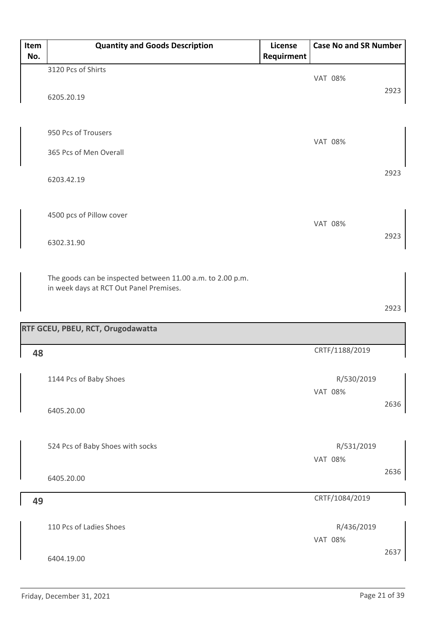| Item | <b>Quantity and Goods Description</b>                      | License    | <b>Case No and SR Number</b> |      |
|------|------------------------------------------------------------|------------|------------------------------|------|
| No.  |                                                            | Requirment |                              |      |
|      | 3120 Pcs of Shirts                                         |            | <b>VAT 08%</b>               |      |
|      |                                                            |            |                              | 2923 |
|      | 6205.20.19                                                 |            |                              |      |
|      |                                                            |            |                              |      |
|      | 950 Pcs of Trousers                                        |            |                              |      |
|      |                                                            |            | <b>VAT 08%</b>               |      |
|      | 365 Pcs of Men Overall                                     |            |                              |      |
|      |                                                            |            |                              | 2923 |
|      | 6203.42.19                                                 |            |                              |      |
|      |                                                            |            |                              |      |
|      | 4500 pcs of Pillow cover                                   |            |                              |      |
|      |                                                            |            | <b>VAT 08%</b>               |      |
|      | 6302.31.90                                                 |            |                              | 2923 |
|      |                                                            |            |                              |      |
|      |                                                            |            |                              |      |
|      | The goods can be inspected between 11.00 a.m. to 2.00 p.m. |            |                              |      |
|      | in week days at RCT Out Panel Premises.                    |            |                              |      |
|      |                                                            |            |                              | 2923 |
|      |                                                            |            |                              |      |
|      | RTF GCEU, PBEU, RCT, Orugodawatta                          |            |                              |      |
| 48   |                                                            |            | CRTF/1188/2019               |      |
|      |                                                            |            |                              |      |
|      | 1144 Pcs of Baby Shoes                                     |            | R/530/2019                   |      |
|      |                                                            |            | <b>VAT 08%</b>               |      |
|      | 6405.20.00                                                 |            |                              | 2636 |
|      |                                                            |            |                              |      |
|      |                                                            |            |                              |      |
|      | 524 Pcs of Baby Shoes with socks                           |            | R/531/2019                   |      |
|      |                                                            |            | <b>VAT 08%</b>               |      |
|      | 6405.20.00                                                 |            |                              | 2636 |
|      |                                                            |            |                              |      |
| 49   |                                                            |            | CRTF/1084/2019               |      |
|      |                                                            |            |                              |      |
|      | 110 Pcs of Ladies Shoes                                    |            | R/436/2019                   |      |
|      |                                                            |            | <b>VAT 08%</b>               | 2637 |
|      | 6404.19.00                                                 |            |                              |      |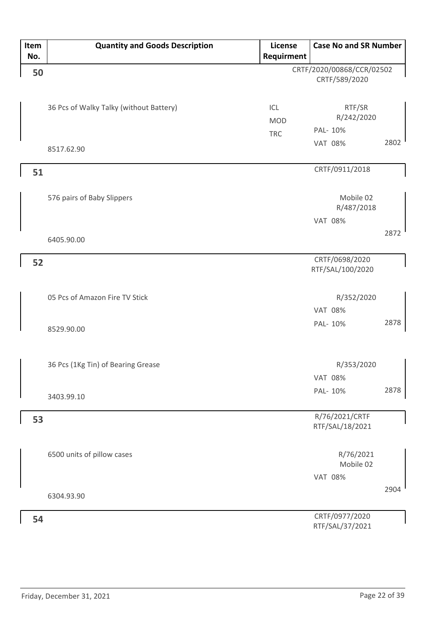| Item | <b>Quantity and Goods Description</b>   | License    | <b>Case No and SR Number</b>       |      |
|------|-----------------------------------------|------------|------------------------------------|------|
| No.  |                                         | Requirment |                                    |      |
| 50   |                                         |            | CRTF/2020/00868/CCR/02502          |      |
|      |                                         |            | CRTF/589/2020                      |      |
|      |                                         |            |                                    |      |
|      | 36 Pcs of Walky Talky (without Battery) | ICL        | RTF/SR                             |      |
|      |                                         | <b>MOD</b> | R/242/2020                         |      |
|      |                                         | <b>TRC</b> | PAL- 10%                           |      |
|      | 8517.62.90                              |            | <b>VAT 08%</b>                     | 2802 |
|      |                                         |            |                                    |      |
| 51   |                                         |            | CRTF/0911/2018                     |      |
|      |                                         |            |                                    |      |
|      | 576 pairs of Baby Slippers              |            | Mobile 02                          |      |
|      |                                         |            | R/487/2018                         |      |
|      |                                         |            | <b>VAT 08%</b>                     |      |
|      | 6405.90.00                              |            |                                    | 2872 |
|      |                                         |            |                                    |      |
| 52   |                                         |            | CRTF/0698/2020<br>RTF/SAL/100/2020 |      |
|      |                                         |            |                                    |      |
|      | 05 Pcs of Amazon Fire TV Stick          |            | R/352/2020                         |      |
|      |                                         |            | <b>VAT 08%</b>                     |      |
|      |                                         |            |                                    | 2878 |
|      | 8529.90.00                              |            | PAL- 10%                           |      |
|      |                                         |            |                                    |      |
|      |                                         |            |                                    |      |
|      | 36 Pcs (1Kg Tin) of Bearing Grease      |            | R/353/2020                         |      |
|      |                                         |            | <b>VAT 08%</b>                     |      |
|      | 3403.99.10                              |            | PAL- 10%                           | 2878 |
|      |                                         |            |                                    |      |
| 53   |                                         |            | R/76/2021/CRTF<br>RTF/SAL/18/2021  |      |
|      |                                         |            |                                    |      |
|      | 6500 units of pillow cases              |            | R/76/2021                          |      |
|      |                                         |            | Mobile 02                          |      |
|      |                                         |            | <b>VAT 08%</b>                     |      |
|      |                                         |            |                                    | 2904 |
|      | 6304.93.90                              |            |                                    |      |
| 54   |                                         |            | CRTF/0977/2020                     |      |
|      |                                         |            | RTF/SAL/37/2021                    |      |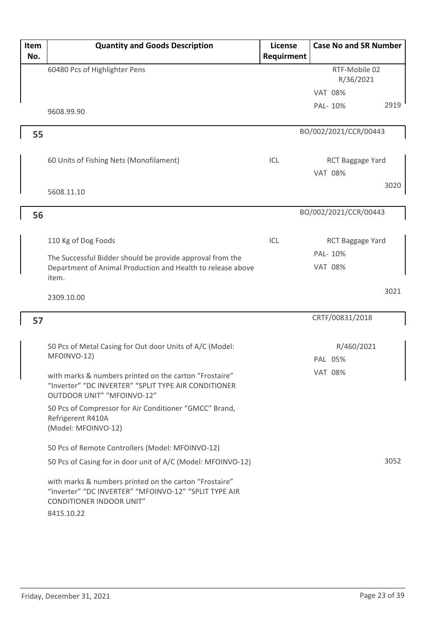| Item | <b>Quantity and Goods Description</b>                                                                                                                                  | License    | <b>Case No and SR Number</b> |      |
|------|------------------------------------------------------------------------------------------------------------------------------------------------------------------------|------------|------------------------------|------|
| No.  |                                                                                                                                                                        | Requirment |                              |      |
|      | 60480 Pcs of Highlighter Pens                                                                                                                                          |            | RTF-Mobile 02                |      |
|      |                                                                                                                                                                        |            | R/36/2021                    |      |
|      |                                                                                                                                                                        |            | <b>VAT 08%</b>               |      |
|      | 9608.99.90                                                                                                                                                             |            | PAL-10%                      | 2919 |
|      |                                                                                                                                                                        |            |                              |      |
| 55   |                                                                                                                                                                        |            | BO/002/2021/CCR/00443        |      |
|      |                                                                                                                                                                        |            |                              |      |
|      | 60 Units of Fishing Nets (Monofilament)                                                                                                                                | ICL        | RCT Baggage Yard             |      |
|      |                                                                                                                                                                        |            | <b>VAT 08%</b>               |      |
|      |                                                                                                                                                                        |            |                              | 3020 |
|      | 5608.11.10                                                                                                                                                             |            |                              |      |
|      |                                                                                                                                                                        |            |                              |      |
| 56   |                                                                                                                                                                        |            | BO/002/2021/CCR/00443        |      |
|      |                                                                                                                                                                        |            |                              |      |
|      | 110 Kg of Dog Foods                                                                                                                                                    | ICL        | RCT Baggage Yard             |      |
|      | The Successful Bidder should be provide approval from the                                                                                                              |            | PAL- 10%                     |      |
|      | Department of Animal Production and Health to release above                                                                                                            |            | <b>VAT 08%</b>               |      |
|      | item.                                                                                                                                                                  |            |                              |      |
|      |                                                                                                                                                                        |            |                              | 3021 |
|      | 2309.10.00                                                                                                                                                             |            |                              |      |
|      |                                                                                                                                                                        |            | CRTF/00831/2018              |      |
| 57   |                                                                                                                                                                        |            |                              |      |
|      |                                                                                                                                                                        |            |                              |      |
|      | 50 Pcs of Metal Casing for Out door Units of A/C (Model:<br>MFOINVO-12)                                                                                                |            | R/460/2021                   |      |
|      |                                                                                                                                                                        |            | PAL 05%                      |      |
|      | with marks & numbers printed on the carton "Frostaire"                                                                                                                 |            | <b>VAT 08%</b>               |      |
|      | "Inverter" "DC INVERTER" "SPLIT TYPE AIR CONDITIONER                                                                                                                   |            |                              |      |
|      | OUTDOOR UNIT" "MFOINVO-12"                                                                                                                                             |            |                              |      |
|      | 50 Pcs of Compressor for Air Conditioner "GMCC" Brand,                                                                                                                 |            |                              |      |
|      | Refrigerent R410A<br>(Model: MFOINVO-12)                                                                                                                               |            |                              |      |
|      |                                                                                                                                                                        |            |                              |      |
|      | 50 Pcs of Remote Controllers (Model: MFOINVO-12)                                                                                                                       |            |                              |      |
|      |                                                                                                                                                                        |            |                              | 3052 |
|      |                                                                                                                                                                        |            |                              |      |
|      | with marks & numbers printed on the carton "Frostaire"                                                                                                                 |            |                              |      |
|      |                                                                                                                                                                        |            |                              |      |
|      |                                                                                                                                                                        |            |                              |      |
|      | 50 Pcs of Casing for in door unit of A/C (Model: MFOINVO-12)<br>"Inverter" "DC INVERTER" "MFOINVO-12" "SPLIT TYPE AIR<br><b>CONDITIONER INDOOR UNIT"</b><br>8415.10.22 |            |                              |      |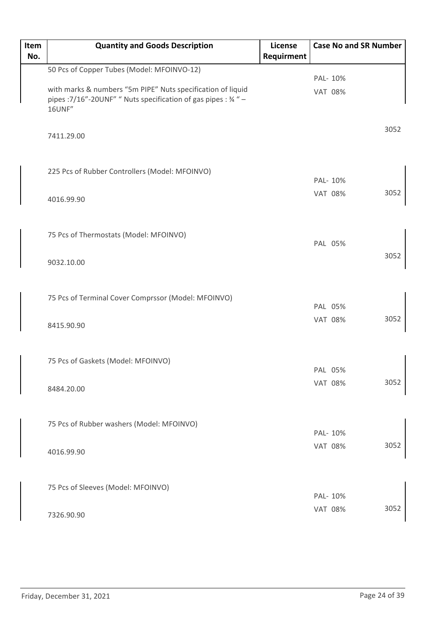| Item | <b>Quantity and Goods Description</b>                                                                                                    | License    | <b>Case No and SR Number</b> |      |
|------|------------------------------------------------------------------------------------------------------------------------------------------|------------|------------------------------|------|
| No.  |                                                                                                                                          | Requirment |                              |      |
|      | 50 Pcs of Copper Tubes (Model: MFOINVO-12)                                                                                               |            | PAL- 10%                     |      |
|      | with marks & numbers "5m PIPE" Nuts specification of liquid<br>pipes : 7/16"-20UNF" " Nuts specification of gas pipes : 34 " -<br>16UNF" |            | <b>VAT 08%</b>               |      |
|      | 7411.29.00                                                                                                                               |            |                              | 3052 |
|      | 225 Pcs of Rubber Controllers (Model: MFOINVO)                                                                                           |            | PAL- 10%                     |      |
|      | 4016.99.90                                                                                                                               |            | <b>VAT 08%</b>               | 3052 |
|      | 75 Pcs of Thermostats (Model: MFOINVO)                                                                                                   |            | PAL 05%                      |      |
|      | 9032.10.00                                                                                                                               |            |                              | 3052 |
|      | 75 Pcs of Terminal Cover Comprssor (Model: MFOINVO)                                                                                      |            | PAL 05%                      |      |
|      | 8415.90.90                                                                                                                               |            | <b>VAT 08%</b>               | 3052 |
|      | 75 Pcs of Gaskets (Model: MFOINVO)                                                                                                       |            | PAL 05%                      |      |
|      | 8484.20.00                                                                                                                               |            | <b>VAT 08%</b>               | 3052 |
|      | 75 Pcs of Rubber washers (Model: MFOINVO)                                                                                                |            | PAL- 10%                     |      |
|      | 4016.99.90                                                                                                                               |            | <b>VAT 08%</b>               | 3052 |
|      | 75 Pcs of Sleeves (Model: MFOINVO)                                                                                                       |            | PAL- 10%                     |      |
|      | 7326.90.90                                                                                                                               |            | <b>VAT 08%</b>               | 3052 |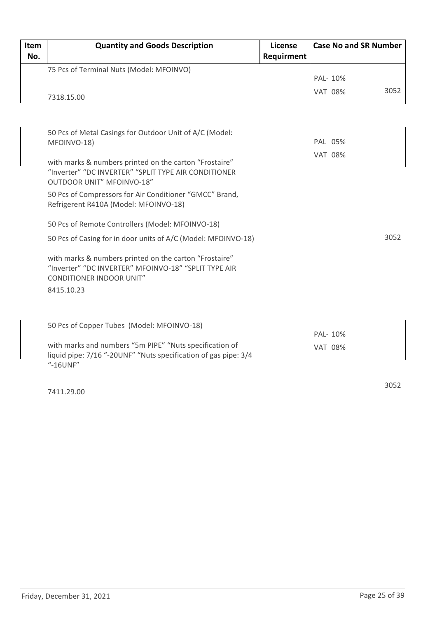| Item | <b>Quantity and Goods Description</b>                                                                                      | License    | <b>Case No and SR Number</b> |      |
|------|----------------------------------------------------------------------------------------------------------------------------|------------|------------------------------|------|
| No.  |                                                                                                                            | Requirment |                              |      |
|      | 75 Pcs of Terminal Nuts (Model: MFOINVO)                                                                                   |            |                              |      |
|      |                                                                                                                            |            | PAL- 10%                     |      |
|      | 7318.15.00                                                                                                                 |            | <b>VAT 08%</b>               | 3052 |
|      |                                                                                                                            |            |                              |      |
|      | 50 Pcs of Metal Casings for Outdoor Unit of A/C (Model:                                                                    |            |                              |      |
|      | MFOINVO-18)                                                                                                                |            | PAL 05%                      |      |
|      | with marks & numbers printed on the carton "Frostaire"                                                                     |            | <b>VAT 08%</b>               |      |
|      | "Inverter" "DC INVERTER" "SPLIT TYPE AIR CONDITIONER<br>OUTDOOR UNIT" MFOINVO-18"                                          |            |                              |      |
|      | 50 Pcs of Compressors for Air Conditioner "GMCC" Brand,                                                                    |            |                              |      |
|      | Refrigerent R410A (Model: MFOINVO-18)                                                                                      |            |                              |      |
|      | 50 Pcs of Remote Controllers (Model: MFOINVO-18)                                                                           |            |                              |      |
|      | 50 Pcs of Casing for in door units of A/C (Model: MFOINVO-18)                                                              |            |                              | 3052 |
|      | with marks & numbers printed on the carton "Frostaire"                                                                     |            |                              |      |
|      | "Inverter" "DC INVERTER" MFOINVO-18" "SPLIT TYPE AIR<br><b>CONDITIONER INDOOR UNIT"</b>                                    |            |                              |      |
|      | 8415.10.23                                                                                                                 |            |                              |      |
|      |                                                                                                                            |            |                              |      |
|      | 50 Pcs of Copper Tubes (Model: MFOINVO-18)                                                                                 |            | PAL- 10%                     |      |
|      | with marks and numbers "5m PIPE" "Nuts specification of<br>liquid pipe: 7/16 "-20UNF" "Nuts specification of gas pipe: 3/4 |            | <b>VAT 08%</b>               |      |
|      | "-16UNF"                                                                                                                   |            |                              |      |
|      |                                                                                                                            |            |                              | 3052 |
|      | 7411.29.00                                                                                                                 |            |                              |      |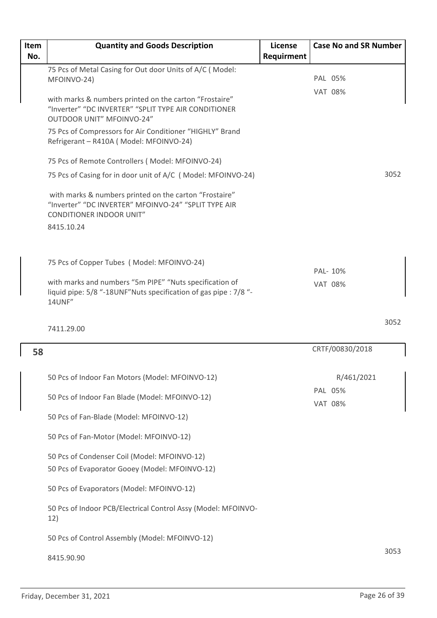| Item | <b>Quantity and Goods Description</b>                                                                                                                                                      | License    | <b>Case No and SR Number</b> |      |
|------|--------------------------------------------------------------------------------------------------------------------------------------------------------------------------------------------|------------|------------------------------|------|
| No.  |                                                                                                                                                                                            | Requirment |                              |      |
|      | 75 Pcs of Metal Casing for Out door Units of A/C (Model:<br>MFOINVO-24)                                                                                                                    |            | PAL 05%                      |      |
|      | with marks & numbers printed on the carton "Frostaire"<br>"Inverter" "DC INVERTER" "SPLIT TYPE AIR CONDITIONER<br>OUTDOOR UNIT" MFOINVO-24"                                                |            | <b>VAT 08%</b>               |      |
|      | 75 Pcs of Compressors for Air Conditioner "HIGHLY" Brand<br>Refrigerant - R410A (Model: MFOINVO-24)                                                                                        |            |                              |      |
|      | 75 Pcs of Remote Controllers (Model: MFOINVO-24)                                                                                                                                           |            |                              |      |
|      | 75 Pcs of Casing for in door unit of A/C (Model: MFOINVO-24)                                                                                                                               |            |                              | 3052 |
|      | with marks & numbers printed on the carton "Frostaire"<br>"Inverter" "DC INVERTER" MFOINVO-24" "SPLIT TYPE AIR<br><b>CONDITIONER INDOOR UNIT"</b>                                          |            |                              |      |
|      | 8415.10.24                                                                                                                                                                                 |            |                              |      |
|      | 75 Pcs of Copper Tubes (Model: MFOINVO-24)<br>with marks and numbers "5m PIPE" "Nuts specification of<br>liquid pipe: 5/8 "-18UNF"Nuts specification of gas pipe : 7/8 "-<br><b>14UNF"</b> |            | PAL-10%<br><b>VAT 08%</b>    |      |
|      | 7411.29.00                                                                                                                                                                                 |            |                              | 3052 |
|      |                                                                                                                                                                                            |            |                              |      |
| 58   |                                                                                                                                                                                            |            | CRTF/00830/2018              |      |
|      | 50 Pcs of Indoor Fan Motors (Model: MFOINVO-12)                                                                                                                                            |            | R/461/2021                   |      |
|      | 50 Pcs of Indoor Fan Blade (Model: MFOINVO-12)                                                                                                                                             |            | PAL 05%<br><b>VAT 08%</b>    |      |
|      | 50 Pcs of Fan-Blade (Model: MFOINVO-12)                                                                                                                                                    |            |                              |      |
|      | 50 Pcs of Fan-Motor (Model: MFOINVO-12)                                                                                                                                                    |            |                              |      |
|      | 50 Pcs of Condenser Coil (Model: MFOINVO-12)<br>50 Pcs of Evaporator Gooey (Model: MFOINVO-12)                                                                                             |            |                              |      |
|      | 50 Pcs of Evaporators (Model: MFOINVO-12)                                                                                                                                                  |            |                              |      |
|      | 50 Pcs of Indoor PCB/Electrical Control Assy (Model: MFOINVO-<br>12)                                                                                                                       |            |                              |      |
|      | 50 Pcs of Control Assembly (Model: MFOINVO-12)                                                                                                                                             |            |                              |      |
|      | 8415.90.90                                                                                                                                                                                 |            |                              | 3053 |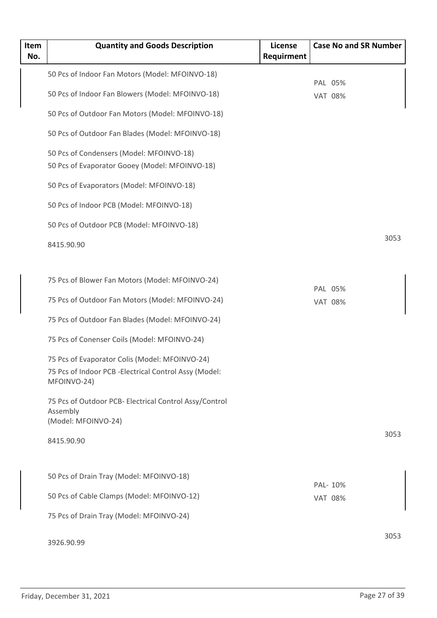| Item | <b>Quantity and Goods Description</b>                                 | License    | <b>Case No and SR Number</b> |      |
|------|-----------------------------------------------------------------------|------------|------------------------------|------|
| No.  |                                                                       | Requirment |                              |      |
|      | 50 Pcs of Indoor Fan Motors (Model: MFOINVO-18)                       |            |                              |      |
|      | 50 Pcs of Indoor Fan Blowers (Model: MFOINVO-18)                      |            | PAL 05%<br><b>VAT 08%</b>    |      |
|      | 50 Pcs of Outdoor Fan Motors (Model: MFOINVO-18)                      |            |                              |      |
|      | 50 Pcs of Outdoor Fan Blades (Model: MFOINVO-18)                      |            |                              |      |
|      | 50 Pcs of Condensers (Model: MFOINVO-18)                              |            |                              |      |
|      | 50 Pcs of Evaporator Gooey (Model: MFOINVO-18)                        |            |                              |      |
|      | 50 Pcs of Evaporators (Model: MFOINVO-18)                             |            |                              |      |
|      | 50 Pcs of Indoor PCB (Model: MFOINVO-18)                              |            |                              |      |
|      | 50 Pcs of Outdoor PCB (Model: MFOINVO-18)                             |            |                              |      |
|      | 8415.90.90                                                            |            |                              | 3053 |
|      |                                                                       |            |                              |      |
|      | 75 Pcs of Blower Fan Motors (Model: MFOINVO-24)                       |            | PAL 05%                      |      |
|      | 75 Pcs of Outdoor Fan Motors (Model: MFOINVO-24)                      |            | <b>VAT 08%</b>               |      |
|      | 75 Pcs of Outdoor Fan Blades (Model: MFOINVO-24)                      |            |                              |      |
|      | 75 Pcs of Conenser Coils (Model: MFOINVO-24)                          |            |                              |      |
|      | 75 Pcs of Evaporator Colis (Model: MFOINVO-24)                        |            |                              |      |
|      | 75 Pcs of Indoor PCB - Electrical Control Assy (Model:<br>MFOINVO-24) |            |                              |      |
|      | 75 Pcs of Outdoor PCB- Electrical Control Assy/Control                |            |                              |      |
|      | Assembly<br>(Model: MFOINVO-24)                                       |            |                              |      |
|      |                                                                       |            |                              | 3053 |
|      | 8415.90.90                                                            |            |                              |      |
|      |                                                                       |            |                              |      |
|      | 50 Pcs of Drain Tray (Model: MFOINVO-18)                              |            | PAL- 10%                     |      |
|      | 50 Pcs of Cable Clamps (Model: MFOINVO-12)                            |            | <b>VAT 08%</b>               |      |
|      | 75 Pcs of Drain Tray (Model: MFOINVO-24)                              |            |                              |      |
|      | 3926.90.99                                                            |            |                              | 3053 |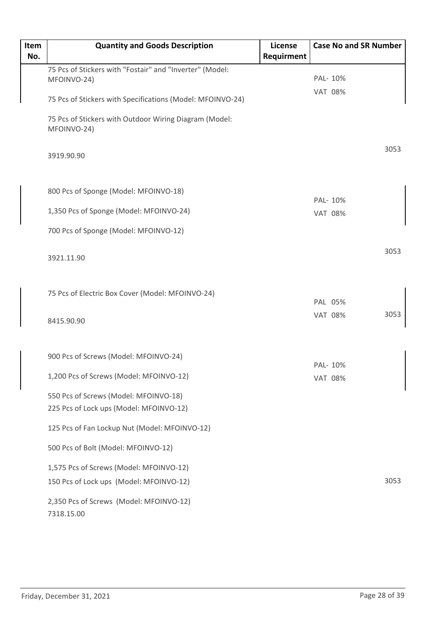| Item<br>No. | <b>Quantity and Goods Description</b>                                 | <b>License</b><br>Requirment | <b>Case No and SR Number</b> |
|-------------|-----------------------------------------------------------------------|------------------------------|------------------------------|
|             | 75 Pcs of Stickers with "Fostair" and "Inverter" (Model:              |                              |                              |
|             | MFOINVO-24)                                                           |                              | PAL- 10%                     |
|             | 75 Pcs of Stickers with Specifications (Model: MFOINVO-24)            |                              | <b>VAT 08%</b>               |
|             | 75 Pcs of Stickers with Outdoor Wiring Diagram (Model:<br>MFOINVO-24) |                              |                              |
|             | 3919.90.90                                                            |                              | 3053                         |
|             | 800 Pcs of Sponge (Model: MFOINVO-18)                                 |                              | PAL- 10%                     |
|             | 1,350 Pcs of Sponge (Model: MFOINVO-24)                               |                              | <b>VAT 08%</b>               |
|             |                                                                       |                              |                              |
|             | 700 Pcs of Sponge (Model: MFOINVO-12)                                 |                              |                              |
|             | 3921.11.90                                                            |                              | 3053                         |
|             | 75 Pcs of Electric Box Cover (Model: MFOINVO-24)                      |                              | PAL 05%                      |
|             | 8415.90.90                                                            |                              | 3053<br><b>VAT 08%</b>       |
|             | 900 Pcs of Screws (Model: MFOINVO-24)                                 |                              |                              |
|             | 1,200 Pcs of Screws (Model: MFOINVO-12)                               |                              | PAL- 10%                     |
|             |                                                                       |                              | <b>VAT 08%</b>               |
|             | 550 Pcs of Screws (Model: MFOINVO-18)                                 |                              |                              |
|             | 225 Pcs of Lock ups (Model: MFOINVO-12)                               |                              |                              |
|             | 125 Pcs of Fan Lockup Nut (Model: MFOINVO-12)                         |                              |                              |
|             | 500 Pcs of Bolt (Model: MFOINVO-12)                                   |                              |                              |
|             | 1,575 Pcs of Screws (Model: MFOINVO-12)                               |                              |                              |
|             | 150 Pcs of Lock ups (Model: MFOINVO-12)                               |                              | 3053                         |
|             | 2,350 Pcs of Screws (Model: MFOINVO-12)<br>7318.15.00                 |                              |                              |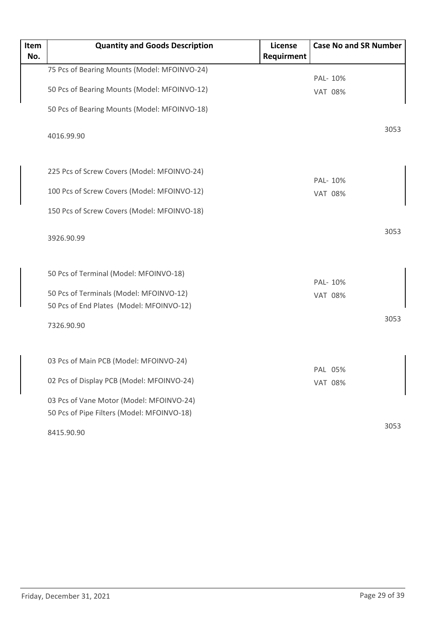| Item | <b>Quantity and Goods Description</b>        | License    | <b>Case No and SR Number</b> |
|------|----------------------------------------------|------------|------------------------------|
| No.  |                                              | Requirment |                              |
|      | 75 Pcs of Bearing Mounts (Model: MFOINVO-24) |            |                              |
|      |                                              |            | PAL- 10%                     |
|      | 50 Pcs of Bearing Mounts (Model: MFOINVO-12) |            | <b>VAT 08%</b>               |
|      | 50 Pcs of Bearing Mounts (Model: MFOINVO-18) |            |                              |
|      |                                              |            | 3053                         |
|      | 4016.99.90                                   |            |                              |
|      |                                              |            |                              |
|      | 225 Pcs of Screw Covers (Model: MFOINVO-24)  |            |                              |
|      |                                              |            | PAL- 10%                     |
|      | 100 Pcs of Screw Covers (Model: MFOINVO-12)  |            | <b>VAT 08%</b>               |
|      | 150 Pcs of Screw Covers (Model: MFOINVO-18)  |            |                              |
|      |                                              |            |                              |
|      | 3926.90.99                                   |            | 3053                         |
|      |                                              |            |                              |
|      |                                              |            |                              |
|      | 50 Pcs of Terminal (Model: MFOINVO-18)       |            | PAL- 10%                     |
|      | 50 Pcs of Terminals (Model: MFOINVO-12)      |            | <b>VAT 08%</b>               |
|      | 50 Pcs of End Plates (Model: MFOINVO-12)     |            |                              |
|      |                                              |            | 3053                         |
|      | 7326.90.90                                   |            |                              |
|      |                                              |            |                              |
|      | 03 Pcs of Main PCB (Model: MFOINVO-24)       |            |                              |
|      |                                              |            | PAL 05%                      |
|      | 02 Pcs of Display PCB (Model: MFOINVO-24)    |            | <b>VAT 08%</b>               |
|      | 03 Pcs of Vane Motor (Model: MFOINVO-24)     |            |                              |
|      | 50 Pcs of Pipe Filters (Model: MFOINVO-18)   |            |                              |
|      |                                              |            | 3053                         |
|      | 8415.90.90                                   |            |                              |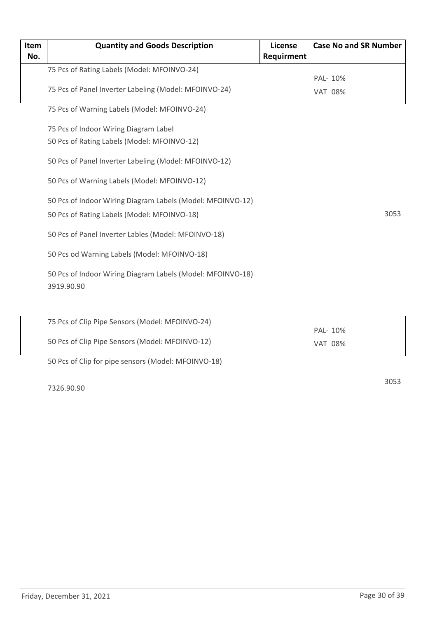| Item | <b>Quantity and Goods Description</b>                                    | <b>License</b> | <b>Case No and SR Number</b> |  |
|------|--------------------------------------------------------------------------|----------------|------------------------------|--|
| No.  |                                                                          | Requirment     |                              |  |
|      | 75 Pcs of Rating Labels (Model: MFOINVO-24)                              |                | PAL- 10%                     |  |
|      | 75 Pcs of Panel Inverter Labeling (Model: MFOINVO-24)                    |                | <b>VAT 08%</b>               |  |
|      | 75 Pcs of Warning Labels (Model: MFOINVO-24)                             |                |                              |  |
|      | 75 Pcs of Indoor Wiring Diagram Label                                    |                |                              |  |
|      | 50 Pcs of Rating Labels (Model: MFOINVO-12)                              |                |                              |  |
|      | 50 Pcs of Panel Inverter Labeling (Model: MFOINVO-12)                    |                |                              |  |
|      | 50 Pcs of Warning Labels (Model: MFOINVO-12)                             |                |                              |  |
|      | 50 Pcs of Indoor Wiring Diagram Labels (Model: MFOINVO-12)               |                |                              |  |
|      | 50 Pcs of Rating Labels (Model: MFOINVO-18)                              |                | 3053                         |  |
|      | 50 Pcs of Panel Inverter Lables (Model: MFOINVO-18)                      |                |                              |  |
|      | 50 Pcs od Warning Labels (Model: MFOINVO-18)                             |                |                              |  |
|      | 50 Pcs of Indoor Wiring Diagram Labels (Model: MFOINVO-18)<br>3919.90.90 |                |                              |  |
|      |                                                                          |                |                              |  |
|      | 75 Pcs of Clip Pipe Sensors (Model: MFOINVO-24)                          |                | PAL- 10%                     |  |
|      | 50 Pcs of Clip Pipe Sensors (Model: MFOINVO-12)                          |                | <b>VAT 08%</b>               |  |
|      | 50 Pcs of Clip for pipe sensors (Model: MFOINVO-18)                      |                |                              |  |
|      |                                                                          |                | $200-2$                      |  |

3053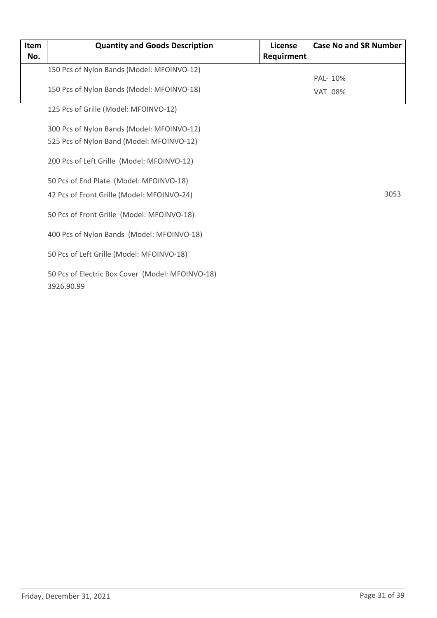| Item | <b>Quantity and Goods Description</b>            | License    | <b>Case No and SR Number</b> |
|------|--------------------------------------------------|------------|------------------------------|
| No.  |                                                  | Requirment |                              |
|      | 150 Pcs of Nylon Bands (Model: MFOINVO-12)       |            |                              |
|      |                                                  |            | PAL- 10%                     |
|      | 150 Pcs of Nylon Bands (Model: MFOINVO-18)       |            | <b>VAT 08%</b>               |
|      | 125 Pcs of Grille (Model: MFOINVO-12)            |            |                              |
|      | 300 Pcs of Nylon Bands (Model: MFOINVO-12)       |            |                              |
|      | 525 Pcs of Nylon Band (Model: MFOINVO-12)        |            |                              |
|      | 200 Pcs of Left Grille (Model: MFOINVO-12)       |            |                              |
|      | 50 Pcs of End Plate (Model: MFOINVO-18)          |            |                              |
|      | 42 Pcs of Front Grille (Model: MFOINVO-24)       |            | 3053                         |
|      |                                                  |            |                              |
|      | 50 Pcs of Front Grille (Model: MFOINVO-18)       |            |                              |
|      | 400 Pcs of Nylon Bands (Model: MFOINVO-18)       |            |                              |
|      | 50 Pcs of Left Grille (Model: MFOINVO-18)        |            |                              |
|      | 50 Pcs of Electric Box Cover (Model: MFOINVO-18) |            |                              |
|      | 3926.90.99                                       |            |                              |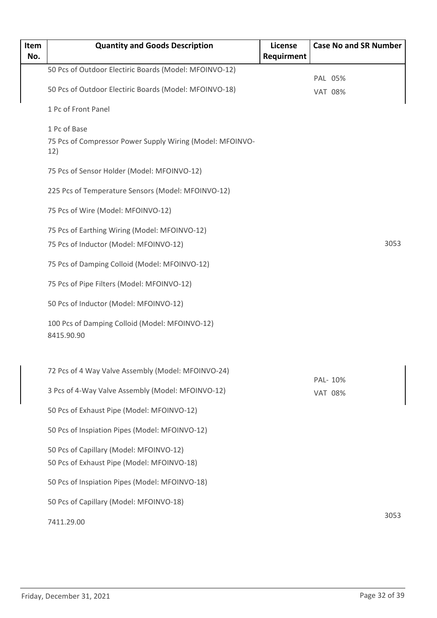| Item<br>No. | <b>Quantity and Goods Description</b>                            | License<br>Requirment | <b>Case No and SR Number</b> |
|-------------|------------------------------------------------------------------|-----------------------|------------------------------|
|             | 50 Pcs of Outdoor Electiric Boards (Model: MFOINVO-12)           |                       |                              |
|             | 50 Pcs of Outdoor Electiric Boards (Model: MFOINVO-18)           |                       | PAL 05%<br><b>VAT 08%</b>    |
|             | 1 Pc of Front Panel                                              |                       |                              |
|             | 1 Pc of Base                                                     |                       |                              |
|             | 75 Pcs of Compressor Power Supply Wiring (Model: MFOINVO-<br>12) |                       |                              |
|             | 75 Pcs of Sensor Holder (Model: MFOINVO-12)                      |                       |                              |
|             | 225 Pcs of Temperature Sensors (Model: MFOINVO-12)               |                       |                              |
|             | 75 Pcs of Wire (Model: MFOINVO-12)                               |                       |                              |
|             | 75 Pcs of Earthing Wiring (Model: MFOINVO-12)                    |                       |                              |
|             | 75 Pcs of Inductor (Model: MFOINVO-12)                           |                       | 3053                         |
|             | 75 Pcs of Damping Colloid (Model: MFOINVO-12)                    |                       |                              |
|             | 75 Pcs of Pipe Filters (Model: MFOINVO-12)                       |                       |                              |
|             | 50 Pcs of Inductor (Model: MFOINVO-12)                           |                       |                              |
|             | 100 Pcs of Damping Colloid (Model: MFOINVO-12)<br>8415.90.90     |                       |                              |
|             | 72 Pcs of 4 Way Valve Assembly (Model: MFOINVO-24)               |                       |                              |
|             | 3 Pcs of 4-Way Valve Assembly (Model: MFOINVO-12)                |                       | PAL- 10%<br><b>VAT 08%</b>   |
|             | 50 Pcs of Exhaust Pipe (Model: MFOINVO-12)                       |                       |                              |
|             | 50 Pcs of Inspiation Pipes (Model: MFOINVO-12)                   |                       |                              |
|             | 50 Pcs of Capillary (Model: MFOINVO-12)                          |                       |                              |
|             | 50 Pcs of Exhaust Pipe (Model: MFOINVO-18)                       |                       |                              |
|             | 50 Pcs of Inspiation Pipes (Model: MFOINVO-18)                   |                       |                              |
|             | 50 Pcs of Capillary (Model: MFOINVO-18)                          |                       |                              |
|             | 7411.29.00                                                       |                       | 3053                         |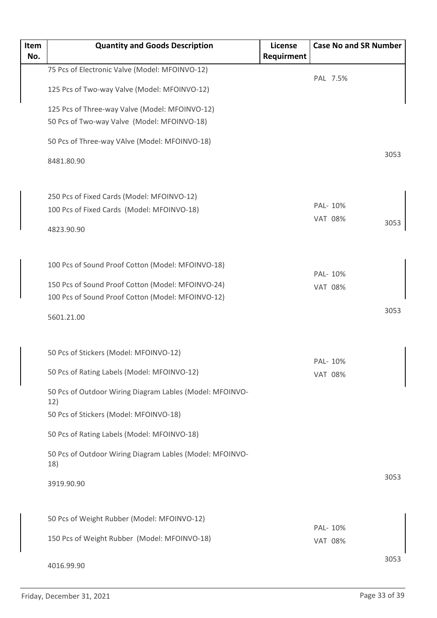| Item | <b>Quantity and Goods Description</b>                           | <b>License</b> |                            | <b>Case No and SR Number</b> |      |
|------|-----------------------------------------------------------------|----------------|----------------------------|------------------------------|------|
| No.  |                                                                 | Requirment     |                            |                              |      |
|      | 75 Pcs of Electronic Valve (Model: MFOINVO-12)                  |                |                            | PAL 7.5%                     |      |
|      | 125 Pcs of Two-way Valve (Model: MFOINVO-12)                    |                |                            |                              |      |
|      | 125 Pcs of Three-way Valve (Model: MFOINVO-12)                  |                |                            |                              |      |
|      | 50 Pcs of Two-way Valve (Model: MFOINVO-18)                     |                |                            |                              |      |
|      | 50 Pcs of Three-way VAlve (Model: MFOINVO-18)                   |                |                            |                              |      |
|      | 8481.80.90                                                      |                |                            |                              | 3053 |
|      | 250 Pcs of Fixed Cards (Model: MFOINVO-12)                      |                |                            |                              |      |
|      | 100 Pcs of Fixed Cards (Model: MFOINVO-18)                      |                | PAL- 10%                   |                              |      |
|      |                                                                 |                | <b>VAT 08%</b>             |                              | 3053 |
|      | 4823.90.90                                                      |                |                            |                              |      |
|      | 100 Pcs of Sound Proof Cotton (Model: MFOINVO-18)               |                |                            |                              |      |
|      | 150 Pcs of Sound Proof Cotton (Model: MFOINVO-24)               |                | PAL- 10%<br><b>VAT 08%</b> |                              |      |
|      | 100 Pcs of Sound Proof Cotton (Model: MFOINVO-12)               |                |                            |                              |      |
|      | 5601.21.00                                                      |                |                            |                              | 3053 |
|      | 50 Pcs of Stickers (Model: MFOINVO-12)                          |                |                            |                              |      |
|      | 50 Pcs of Rating Labels (Model: MFOINVO-12)                     |                | PAL- 10%<br><b>VAT 08%</b> |                              |      |
|      | 50 Pcs of Outdoor Wiring Diagram Lables (Model: MFOINVO-<br>12) |                |                            |                              |      |
|      | 50 Pcs of Stickers (Model: MFOINVO-18)                          |                |                            |                              |      |
|      | 50 Pcs of Rating Labels (Model: MFOINVO-18)                     |                |                            |                              |      |
|      | 50 Pcs of Outdoor Wiring Diagram Lables (Model: MFOINVO-<br>18) |                |                            |                              |      |
|      | 3919.90.90                                                      |                |                            |                              | 3053 |
|      | 50 Pcs of Weight Rubber (Model: MFOINVO-12)                     |                |                            |                              |      |
|      | 150 Pcs of Weight Rubber (Model: MFOINVO-18)                    |                | PAL- 10%<br><b>VAT 08%</b> |                              |      |
|      |                                                                 |                |                            |                              |      |
|      | 4016.99.90                                                      |                |                            |                              | 3053 |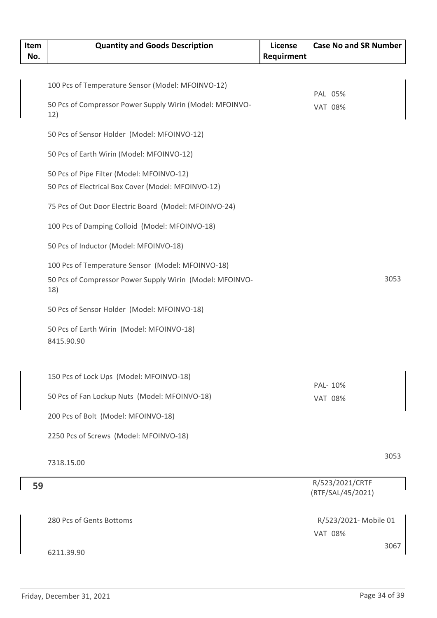| Item<br>No. | <b>Quantity and Goods Description</b>                           | <b>License</b><br>Requirment | <b>Case No and SR Number</b> |      |
|-------------|-----------------------------------------------------------------|------------------------------|------------------------------|------|
|             |                                                                 |                              |                              |      |
|             | 100 Pcs of Temperature Sensor (Model: MFOINVO-12)               |                              |                              |      |
|             | 50 Pcs of Compressor Power Supply Wirin (Model: MFOINVO-        |                              | PAL 05%                      |      |
|             | 12)                                                             |                              | <b>VAT 08%</b>               |      |
|             | 50 Pcs of Sensor Holder (Model: MFOINVO-12)                     |                              |                              |      |
|             | 50 Pcs of Earth Wirin (Model: MFOINVO-12)                       |                              |                              |      |
|             | 50 Pcs of Pipe Filter (Model: MFOINVO-12)                       |                              |                              |      |
|             | 50 Pcs of Electrical Box Cover (Model: MFOINVO-12)              |                              |                              |      |
|             | 75 Pcs of Out Door Electric Board (Model: MFOINVO-24)           |                              |                              |      |
|             | 100 Pcs of Damping Colloid (Model: MFOINVO-18)                  |                              |                              |      |
|             | 50 Pcs of Inductor (Model: MFOINVO-18)                          |                              |                              |      |
|             | 100 Pcs of Temperature Sensor (Model: MFOINVO-18)               |                              |                              |      |
|             | 50 Pcs of Compressor Power Supply Wirin (Model: MFOINVO-<br>18) |                              |                              | 3053 |
|             | 50 Pcs of Sensor Holder (Model: MFOINVO-18)                     |                              |                              |      |
|             | 50 Pcs of Earth Wirin (Model: MFOINVO-18)<br>8415.90.90         |                              |                              |      |
|             | 150 Pcs of Lock Ups (Model: MFOINVO-18)                         |                              |                              |      |
|             |                                                                 |                              | PAL- 10%                     |      |
|             | 50 Pcs of Fan Lockup Nuts (Model: MFOINVO-18)                   |                              | <b>VAT 08%</b>               |      |
|             | 200 Pcs of Bolt (Model: MFOINVO-18)                             |                              |                              |      |
|             | 2250 Pcs of Screws (Model: MFOINVO-18)                          |                              |                              |      |
|             | 7318.15.00                                                      |                              |                              | 3053 |
|             |                                                                 |                              | R/523/2021/CRTF              |      |
| 59          |                                                                 |                              | (RTF/SAL/45/2021)            |      |
|             |                                                                 |                              |                              |      |
|             | 280 Pcs of Gents Bottoms                                        |                              | R/523/2021- Mobile 01        |      |
|             |                                                                 |                              | <b>VAT 08%</b>               |      |
|             | 6211.39.90                                                      |                              |                              | 3067 |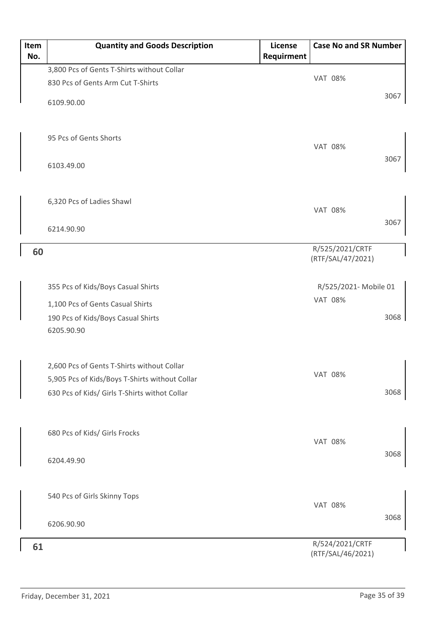| Item<br>No. | <b>Quantity and Goods Description</b>                                                                                                         | <b>License</b><br>Requirment | <b>Case No and SR Number</b>         |      |
|-------------|-----------------------------------------------------------------------------------------------------------------------------------------------|------------------------------|--------------------------------------|------|
|             | 3,800 Pcs of Gents T-Shirts without Collar                                                                                                    |                              |                                      |      |
|             | 830 Pcs of Gents Arm Cut T-Shirts                                                                                                             |                              | <b>VAT 08%</b>                       |      |
|             | 6109.90.00                                                                                                                                    |                              |                                      | 3067 |
|             | 95 Pcs of Gents Shorts                                                                                                                        |                              | <b>VAT 08%</b>                       |      |
|             | 6103.49.00                                                                                                                                    |                              |                                      | 3067 |
|             | 6,320 Pcs of Ladies Shawl                                                                                                                     |                              | <b>VAT 08%</b>                       |      |
|             | 6214.90.90                                                                                                                                    |                              |                                      | 3067 |
| 60          |                                                                                                                                               |                              | R/525/2021/CRTF<br>(RTF/SAL/47/2021) |      |
|             | 355 Pcs of Kids/Boys Casual Shirts                                                                                                            |                              | R/525/2021- Mobile 01                |      |
|             | 1,100 Pcs of Gents Casual Shirts                                                                                                              |                              | <b>VAT 08%</b>                       |      |
|             | 190 Pcs of Kids/Boys Casual Shirts<br>6205.90.90                                                                                              |                              |                                      | 3068 |
|             | 2,600 Pcs of Gents T-Shirts without Collar<br>5,905 Pcs of Kids/Boys T-Shirts without Collar<br>630 Pcs of Kids/ Girls T-Shirts withot Collar |                              | <b>VAT 08%</b>                       | 3068 |
|             | 680 Pcs of Kids/ Girls Frocks                                                                                                                 |                              | <b>VAT 08%</b>                       | 3068 |
|             | 6204.49.90                                                                                                                                    |                              |                                      |      |
|             | 540 Pcs of Girls Skinny Tops                                                                                                                  |                              | <b>VAT 08%</b>                       | 3068 |
|             | 6206.90.90                                                                                                                                    |                              |                                      |      |
| 61          |                                                                                                                                               |                              | R/524/2021/CRTF<br>(RTF/SAL/46/2021) |      |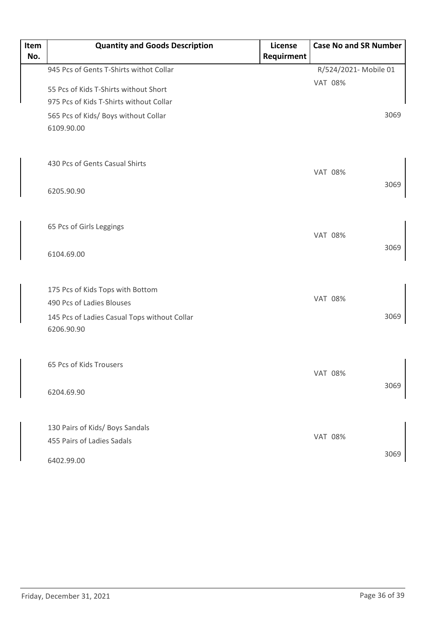| Item<br>No. | <b>Quantity and Goods Description</b>                      | License<br>Requirment | <b>Case No and SR Number</b> |      |
|-------------|------------------------------------------------------------|-----------------------|------------------------------|------|
|             | 945 Pcs of Gents T-Shirts withot Collar                    |                       | R/524/2021- Mobile 01        |      |
|             |                                                            |                       | <b>VAT 08%</b>               |      |
|             | 55 Pcs of Kids T-Shirts without Short                      |                       |                              |      |
|             | 975 Pcs of Kids T-Shirts without Collar                    |                       |                              |      |
|             | 565 Pcs of Kids/ Boys without Collar                       |                       |                              | 3069 |
|             | 6109.90.00                                                 |                       |                              |      |
|             | 430 Pcs of Gents Casual Shirts                             |                       | <b>VAT 08%</b>               |      |
|             | 6205.90.90                                                 |                       |                              | 3069 |
|             | 65 Pcs of Girls Leggings                                   |                       | <b>VAT 08%</b>               |      |
|             | 6104.69.00                                                 |                       |                              | 3069 |
|             | 175 Pcs of Kids Tops with Bottom                           |                       |                              |      |
|             | 490 Pcs of Ladies Blouses                                  |                       | <b>VAT 08%</b>               |      |
|             | 145 Pcs of Ladies Casual Tops without Collar<br>6206.90.90 |                       |                              | 3069 |
|             | 65 Pcs of Kids Trousers                                    |                       | <b>VAT 08%</b>               |      |
|             | 6204.69.90                                                 |                       |                              | 3069 |
|             | 130 Pairs of Kids/ Boys Sandals                            |                       |                              |      |
|             | 455 Pairs of Ladies Sadals                                 |                       | <b>VAT 08%</b>               |      |
|             | 6402.99.00                                                 |                       |                              | 3069 |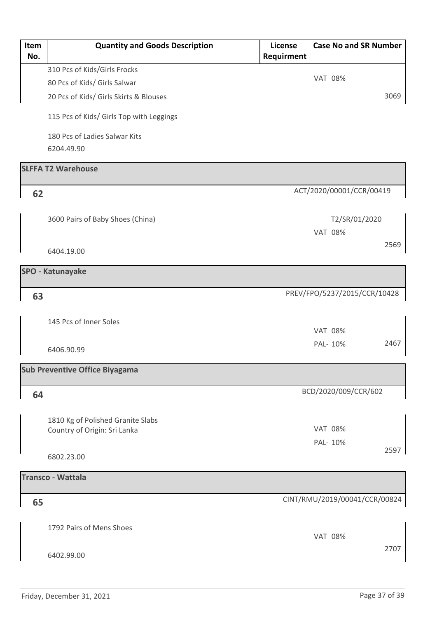| Item | <b>Quantity and Goods Description</b>    | License    | <b>Case No and SR Number</b>  |      |
|------|------------------------------------------|------------|-------------------------------|------|
| No.  |                                          | Requirment |                               |      |
|      | 310 Pcs of Kids/Girls Frocks             |            | <b>VAT 08%</b>                |      |
|      | 80 Pcs of Kids/ Girls Salwar             |            |                               |      |
|      | 20 Pcs of Kids/ Girls Skirts & Blouses   |            |                               | 3069 |
|      | 115 Pcs of Kids/ Girls Top with Leggings |            |                               |      |
|      | 180 Pcs of Ladies Salwar Kits            |            |                               |      |
|      | 6204.49.90                               |            |                               |      |
|      | <b>SLFFA T2 Warehouse</b>                |            |                               |      |
|      |                                          |            | ACT/2020/00001/CCR/00419      |      |
| 62   |                                          |            |                               |      |
|      |                                          |            |                               |      |
|      | 3600 Pairs of Baby Shoes (China)         |            | T2/SR/01/2020                 |      |
|      |                                          |            | <b>VAT 08%</b>                |      |
|      | 6404.19.00                               |            |                               | 2569 |
|      | <b>SPO - Katunayake</b>                  |            |                               |      |
|      |                                          |            |                               |      |
| 63   |                                          |            | PREV/FPO/5237/2015/CCR/10428  |      |
|      |                                          |            |                               |      |
|      | 145 Pcs of Inner Soles                   |            |                               |      |
|      |                                          |            | <b>VAT 08%</b>                |      |
|      | 6406.90.99                               |            | PAL- 10%                      | 2467 |
|      | <b>Sub Preventive Office Biyagama</b>    |            |                               |      |
|      |                                          |            |                               |      |
| 64   |                                          |            | BCD/2020/009/CCR/602          |      |
|      |                                          |            |                               |      |
|      | 1810 Kg of Polished Granite Slabs        |            |                               |      |
|      | Country of Origin: Sri Lanka             |            | <b>VAT 08%</b>                |      |
|      |                                          |            | PAL- 10%                      | 2597 |
|      | 6802.23.00                               |            |                               |      |
|      | <b>Transco - Wattala</b>                 |            |                               |      |
|      |                                          |            |                               |      |
| 65   |                                          |            | CINT/RMU/2019/00041/CCR/00824 |      |
|      |                                          |            |                               |      |
|      | 1792 Pairs of Mens Shoes                 |            |                               |      |
|      |                                          |            | <b>VAT 08%</b>                |      |
|      | 6402.99.00                               |            |                               | 2707 |
|      |                                          |            |                               |      |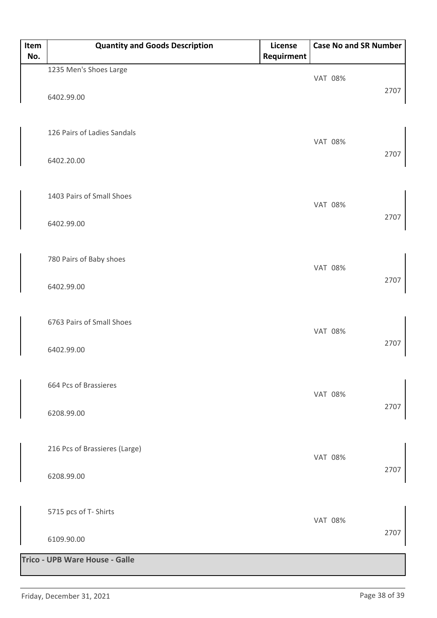| Item<br>No. | <b>Quantity and Goods Description</b> | License<br>Requirment |                | <b>Case No and SR Number</b> |      |
|-------------|---------------------------------------|-----------------------|----------------|------------------------------|------|
|             | 1235 Men's Shoes Large                |                       | <b>VAT 08%</b> |                              |      |
|             | 6402.99.00                            |                       |                |                              | 2707 |
|             | 126 Pairs of Ladies Sandals           |                       | <b>VAT 08%</b> |                              |      |
|             | 6402.20.00                            |                       |                |                              | 2707 |
|             | 1403 Pairs of Small Shoes             |                       | <b>VAT 08%</b> |                              |      |
|             | 6402.99.00                            |                       |                |                              | 2707 |
|             | 780 Pairs of Baby shoes               |                       | <b>VAT 08%</b> |                              | 2707 |
|             | 6402.99.00                            |                       |                |                              |      |
|             | 6763 Pairs of Small Shoes             |                       | <b>VAT 08%</b> |                              |      |
|             | 6402.99.00                            |                       |                |                              | 2707 |
|             | 664 Pcs of Brassieres                 |                       | <b>VAT 08%</b> |                              | 2707 |
|             | 6208.99.00                            |                       |                |                              |      |
|             | 216 Pcs of Brassieres (Large)         |                       | <b>VAT 08%</b> |                              |      |
|             | 6208.99.00                            |                       |                |                              | 2707 |
|             | 5715 pcs of T- Shirts                 |                       | <b>VAT 08%</b> |                              |      |
|             | 6109.90.00                            |                       |                |                              | 2707 |
|             | Trico - UPB Ware House - Galle        |                       |                |                              |      |